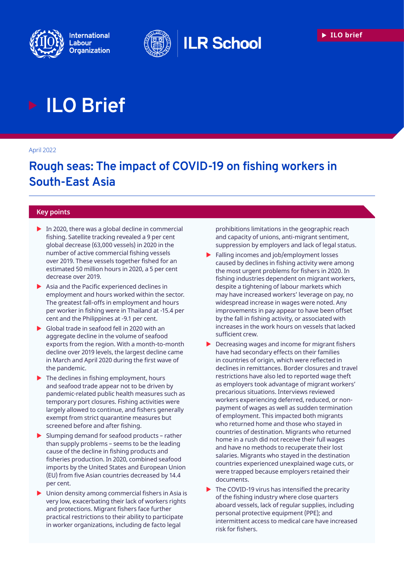





# **ILO Brief**

#### April 2022

# **Rough seas: The impact of COVID-19 on fishing workers in South-East Asia**

#### **Key points**

- $\triangleright$  In 2020, there was a global decline in commercial fishing. Satellite tracking revealed a 9 per cent global decrease (63,000 vessels) in 2020 in the number of active commercial fishing vessels over 2019. These vessels together fished for an estimated 50 million hours in 2020, a 5 per cent decrease over 2019.
- $\blacktriangleright$  Asia and the Pacific experienced declines in employment and hours worked within the sector. The greatest fall-offs in employment and hours per worker in fishing were in Thailand at -15.4 per cent and the Philippines at -9.1 per cent.
- $\triangleright$  Global trade in seafood fell in 2020 with an aggregate decline in the volume of seafood exports from the region. With a month-to-month decline over 2019 levels, the largest decline came in March and April 2020 during the first wave of the pandemic.
- $\blacktriangleright$  The declines in fishing employment, hours and seafood trade appear not to be driven by pandemic-related public health measures such as temporary port closures. Fishing activities were largely allowed to continue, and fishers generally exempt from strict quarantine measures but screened before and after fishing.
- Slumping demand for seafood products rather than supply problems – seems to be the leading cause of the decline in fishing products and fisheries production. In 2020, combined seafood imports by the United States and European Union (EU) from five Asian countries decreased by 14.4 per cent.
- Union density among commercial fishers in Asia is very low, exacerbating their lack of workers rights and protections. Migrant fishers face further practical restrictions to their ability to participate in worker organizations, including de facto legal

prohibitions limitations in the geographic reach and capacity of unions, anti-migrant sentiment, suppression by employers and lack of legal status.

- $\blacktriangleright$  Falling incomes and job/employment losses caused by declines in fishing activity were among the most urgent problems for fishers in 2020. In fishing industries dependent on migrant workers, despite a tightening of labour markets which may have increased workers' leverage on pay, no widespread increase in wages were noted. Any improvements in pay appear to have been offset by the fall in fishing activity, or associated with increases in the work hours on vessels that lacked sufficient crew.
- $\blacktriangleright$  Decreasing wages and income for migrant fishers have had secondary effects on their families in countries of origin, which were reflected in declines in remittances. Border closures and travel restrictions have also led to reported wage theft as employers took advantage of migrant workers' precarious situations. Interviews reviewed workers experiencing deferred, reduced, or nonpayment of wages as well as sudden termination of employment. This impacted both migrants who returned home and those who stayed in countries of destination. Migrants who returned home in a rush did not receive their full wages and have no methods to recuperate their lost salaries. Migrants who stayed in the destination countries experienced unexplained wage cuts, or were trapped because employers retained their documents.
- $\blacktriangleright$  The COVID-19 virus has intensified the precarity of the fishing industry where close quarters aboard vessels, lack of regular supplies, including personal protective equipment (PPE); and intermittent access to medical care have increased risk for fishers.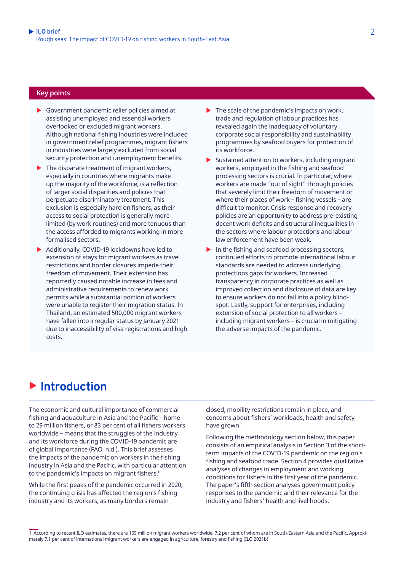#### **Key points**

- $\triangleright$  Government pandemic relief policies aimed at assisting unemployed and essential workers overlooked or excluded migrant workers. Although national fishing industries were included in government relief programmes, migrant fishers in industries were largely excluded from social security protection and unemployment benefits.
- $\blacktriangleright$  The disparate treatment of migrant workers, especially in countries where migrants make up the majority of the workforce, is a reflection of larger social disparities and policies that perpetuate discriminatory treatment. This exclusion is especially hard on fishers, as their access to social protection is generally more limited (by work routines) and more tenuous than the access afforded to migrants working in more formalised sectors.
- $\blacktriangleright$  Additionally, COVID-19 lockdowns have led to extension of stays for migrant workers as travel restrictions and border closures impede their freedom of movement. Their extension has reportedly caused notable increase in fees and administrative requirements to renew work permits while a substantial portion of workers were unable to register their migration status. In Thailand, an estimated 500,000 migrant workers have fallen into irregular status by January 2021 due to inaccessibility of visa registrations and high costs.
- $\blacktriangleright$  The scale of the pandemic's impacts on work, trade and regulation of labour practices has revealed again the inadequacy of voluntary corporate social responsibility and sustainability programmes by seafood buyers for protection of its workforce.
- $\triangleright$  Sustained attention to workers, including migrant workers, employed in the fishing and seafood processing sectors is crucial. In particular, where workers are made "out of sight" through policies that severely limit their freedom of movement or where their places of work – fishing vessels – are difficult to monitor. Crisis response and recovery policies are an opportunity to address pre-existing decent work deficits and structural inequalities in the sectors where labour protections and labour law enforcement have been weak.
- $\blacktriangleright$  In the fishing and seafood processing sectors, continued efforts to promote international labour standards are needed to address underlying protections gaps for workers. Increased transparency in corporate practices as well as improved collection and disclosure of data are key to ensure workers do not fall into a policy blindspot. Lastly, support for enterprises, including extension of social protection to all workers – including migrant workers – is crucial in mitigating the adverse impacts of the pandemic.

# $\blacktriangleright$  Introduction

The economic and cultural importance of commercial fishing and aquaculture in Asia and the Pacific – home to 29 million fishers, or 83 per cent of all fishers workers worldwide – means that the struggles of the industry and its workforce during the COVID-19 pandemic are of global importance (FAO, n.d.). This brief assesses the impacts of the pandemic on workers in the fishing industry in Asia and the Pacific, with particular attention to the pandemic's impacts on migrant fishers.<sup>1</sup>

While the first peaks of the pandemic occurred in 2020, the continuing crisis has affected the region's fishing industry and its workers, as many borders remain

closed, mobility restrictions remain in place, and concerns about fishers' workloads, health and safety have grown.

Following the methodology section below, this paper consists of an empirical analysis in Section 3 of the shortterm impacts of the COVID-19 pandemic on the region's fishing and seafood trade. Section 4 provides qualitative analyses of changes in employment and working conditions for fishers in the first year of the pandemic. The paper's fifth section analyses government policy responses to the pandemic and their relevance for the industry and fishers' health and livelihoods.

1 According to recent ILO estimates, there are 169 million migrant workers worldwide, 7.2 per cent of whom are in South-Eastern Asia and the Pacific. Approximately 7.1 per cent of international migrant workers are engaged in agriculture, forestry and fishing (ILO 2021b)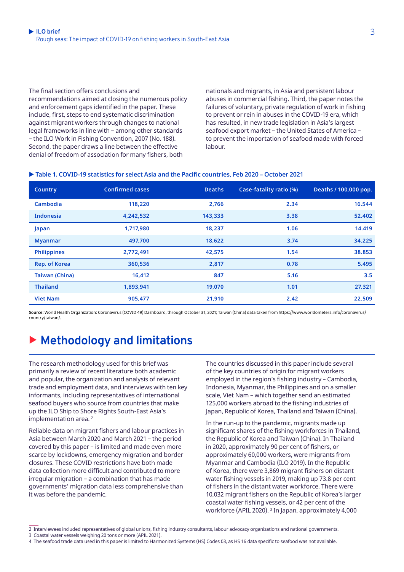The final section offers conclusions and

recommendations aimed at closing the numerous policy and enforcement gaps identified in the paper. These include, first, steps to end systematic discrimination against migrant workers through changes to national legal frameworks in line with – among other standards – the ILO Work in Fishing Convention, 2007 (No. 188). Second, the paper draws a line between the effective denial of freedom of association for many fishers, both

nationals and migrants, in Asia and persistent labour abuses in commercial fishing. Third, the paper notes the failures of voluntary, private regulation of work in fishing to prevent or rein in abuses in the COVID-19 era, which has resulted, in new trade legislation in Asia's largest seafood export market – the United States of America – to prevent the importation of seafood made with forced labour.

#### $\blacktriangleright$  **Table 1. COVID-19 statistics for select Asia and the Pacific countries, Feb 2020 - October 2021**

| Country               | <b>Confirmed cases</b> | <b>Deaths</b> | Case-fatality ratio (%) | Deaths / 100,000 pop. |
|-----------------------|------------------------|---------------|-------------------------|-----------------------|
| <b>Cambodia</b>       | 118,220                | 2,766         | 2.34                    | 16.544                |
| <b>Indonesia</b>      | 4,242,532              | 143,333       | 3.38                    | 52.402                |
| Japan                 | 1,717,980              | 18,237        | 1.06                    | 14.419                |
| <b>Myanmar</b>        | 497,700                | 18,622        | 3.74                    | 34.225                |
| <b>Philippines</b>    | 2,772,491              | 42,575        | 1.54                    | 38.853                |
| <b>Rep. of Korea</b>  | 360,536                | 2,817         | 0.78                    | 5.495                 |
| <b>Taiwan (China)</b> | 16,412                 | 847           | 5.16                    | 3.5                   |
| <b>Thailand</b>       | 1,893,941              | 19,070        | 1.01                    | 27.321                |
| <b>Viet Nam</b>       | 905,477                | 21,910        | 2.42                    | 22.509                |

**Source**: World Health Organization: Coronavirus (COVID-19) Dashboard, through October 31, 2021; Taiwan (China) data taken from https://www.worldometers.info/coronavirus/ country/taiwan/.

# **Methodology and limitations**

The research methodology used for this brief was primarily a review of recent literature both academic and popular, the organization and analysis of relevant trade and employment data, and interviews with ten key informants, including representatives of international seafood buyers who source from countries that make up the ILO Ship to Shore Rights South-East Asia's implementation area.<sup>2</sup>

Reliable data on migrant fishers and labour practices in Asia between March 2020 and March 2021 – the period covered by this paper – is limited and made even more scarce by lockdowns, emergency migration and border closures. These COVID restrictions have both made data collection more difficult and contributed to more irregular migration – a combination that has made governments' migration data less comprehensive than it was before the pandemic.

The countries discussed in this paper include several of the key countries of origin for migrant workers employed in the region's fishing industry – Cambodia, Indonesia, Myanmar, the Philippines and on a smaller scale, Viet Nam – which together send an estimated 125,000 workers abroad to the fishing industries of Japan, Republic of Korea, Thailand and Taiwan (China).

In the run-up to the pandemic, migrants made up significant shares of the fishing workforces in Thailand, the Republic of Korea and Taiwan (China). In Thailand in 2020, approximately 90 per cent of fishers, or approximately 60,000 workers, were migrants from Myanmar and Cambodia (ILO 2019). In the Republic of Korea, there were 3,869 migrant fishers on distant water fishing vessels in 2019, making up 73.8 per cent of fishers in the distant water workforce. There were 10,032 migrant fishers on the Republic of Korea's larger coastal water fishing vessels, or 42 per cent of the workforce (APIL 2020). <sup>3</sup> In Japan, approximately 4,000

3 Coastal water vessels weighing 20 tons or more (APIL 2021).

<sup>2</sup> Interviewees included representatives of global unions, fishing industry consultants, labour advocacy organizations and national governments.

<sup>4</sup> The seafood trade data used in this paper is limited to Harmonized Systems (HS) Codes 03, as HS 16 data specific to seafood was not available.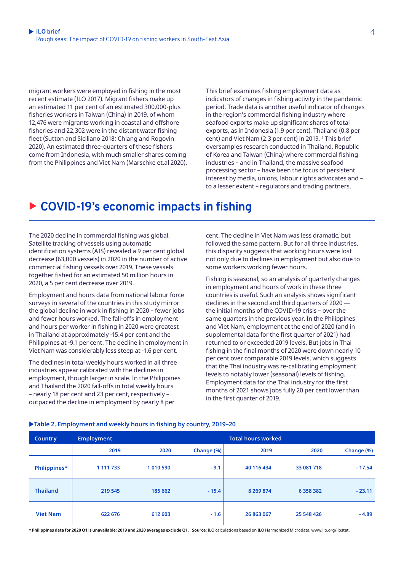migrant workers were employed in fishing in the most recent estimate (ILO 2017). Migrant fishers make up an estimated 11 per cent of an estimated 300,000-plus fisheries workers in Taiwan (China) in 2019, of whom 12,476 were migrants working in coastal and offshore fisheries and 22,302 were in the distant water fishing fleet (Sutton and Siciliano 2018; Chiang and Rogovin 2020). An estimated three-quarters of these fishers come from Indonesia, with much smaller shares coming from the Philippines and Viet Nam (Marschke et.al 2020). This brief examines fishing employment data as indicators of changes in fishing activity in the pandemic period. Trade data is another useful indicator of changes in the region's commercial fishing industry where seafood exports make up significant shares of total exports, as in Indonesia (1.9 per cent), Thailand (0.8 per cent) and Viet Nam (2.3 per cent) in 2019. <sup>4</sup> This brief oversamples research conducted in Thailand, Republic of Korea and Taiwan (China) where commercial fishing industries – and in Thailand, the massive seafood processing sector – have been the focus of persistent interest by media, unions, labour rights advocates and – to a lesser extent – regulators and trading partners.

# ▶ COVID-19's economic impacts in fishing

The 2020 decline in commercial fishing was global. Satellite tracking of vessels using automatic identification systems (AIS) revealed a 9 per cent global decrease (63,000 vessels) in 2020 in the number of active commercial fishing vessels over 2019. These vessels together fished for an estimated 50 million hours in 2020, a 5 per cent decrease over 2019.

Employment and hours data from national labour force surveys in several of the countries in this study mirror the global decline in work in fishing in 2020 – fewer jobs and fewer hours worked. The fall-offs in employment and hours per worker in fishing in 2020 were greatest in Thailand at approximately -15.4 per cent and the Philippines at -9.1 per cent. The decline in employment in Viet Nam was considerably less steep at -1.6 per cent.

The declines in total weekly hours worked in all three industries appear calibrated with the declines in employment, though larger in scale. In the Philippines and Thailand the 2020 fall-offs in total weekly hours – nearly 18 per cent and 23 per cent, respectively – outpaced the decline in employment by nearly 8 per

cent. The decline in Viet Nam was less dramatic, but followed the same pattern. But for all three industries, this disparity suggests that working hours were lost not only due to declines in employment but also due to some workers working fewer hours.

Fishing is seasonal; so an analysis of quarterly changes in employment and hours of work in these three countries is useful. Such an analysis shows significant declines in the second and third quarters of 2020 the initial months of the COVID-19 crisis – over the same quarters in the previous year. In the Philippines and Viet Nam, employment at the end of 2020 (and in supplemental data for the first quarter of 2021) had returned to or exceeded 2019 levels. But jobs in Thai fishing in the final months of 2020 were down nearly 10 per cent over comparable 2019 levels, which suggests that the Thai industry was re-calibrating employment levels to notably lower (seasonal) levels of fishing. Employment data for the Thai industry for the first months of 2021 shows jobs fully 20 per cent lower than in the first quarter of 2019.

| <b>Country</b>  | <b>Employment</b> | <b>Total hours worked</b> |            |               |               |            |  |  |  |
|-----------------|-------------------|---------------------------|------------|---------------|---------------|------------|--|--|--|
|                 | 2019              | 2020                      | Change (%) | 2019          | 2020          | Change (%) |  |  |  |
| Philippines*    | 1 111 733         | 1 010 590                 | $-9.1$     | 40 116 434    | 33 081 718    | $-17.54$   |  |  |  |
| <b>Thailand</b> | 219 545           | 185 662                   | $-15.4$    | 8 2 6 9 8 7 4 | 6 3 5 8 3 8 2 | $-23.11$   |  |  |  |
| <b>Viet Nam</b> | 622 676           | 612 603                   | $-1.6$     | 26 863 067    | 25 548 426    | $-4.89$    |  |  |  |

#### ▶Table 2. Employment and weekly hours in fishing by country, 2019-20

**\* Philippines data for 2020 Q1 is unavailable; 2019 and 2020 averages exclude Q1. 
Source**: ILO calculations based on ILO Harmonized Microdata, [www.ilo.org/ilostat.](http://www.ilo.org/ilostat)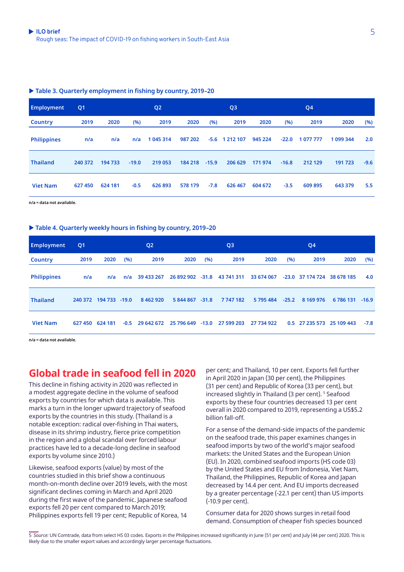#### ▶ Table 3. Quarterly employment in fishing by country, 2019-20

| <b>Employment</b>  | Q <sub>1</sub> |         |         | Q <sub>2</sub> |         |         | Q <sub>3</sub> |         |         | Q <sub>4</sub> |           |        |
|--------------------|----------------|---------|---------|----------------|---------|---------|----------------|---------|---------|----------------|-----------|--------|
| <b>Country</b>     | 2019           | 2020    | (%)     | 2019           | 2020    | (%)     | 2019           | 2020    | (%)     | 2019           | 2020      | (%)    |
| <b>Philippines</b> | n/a            | n/a     | n/a     | 1 045 314      | 987 202 | $-5.6$  | 1 212 107      | 945 224 | $-22.0$ | 1 077 777      | 1 099 344 | 2.0    |
| <b>Thailand</b>    | 240 372        | 194 733 | $-19.0$ | 219 053        | 184 218 | $-15.9$ | 206 629        | 171 974 | $-16.8$ | 212 129        | 191723    | $-9.6$ |
| <b>Viet Nam</b>    | 627 450        | 624 181 | $-0.5$  | 626 893        | 578 179 | $-7.8$  | 626 467        | 604 672 | $-3.5$  | 609 895        | 643 379   | 5.5    |

**n/a = data not available.**

#### ▶ Table 4. Quarterly weekly hours in fishing by country, 2019-20

| <b>Employment</b>  | Q <sub>1</sub> | Q <sub>2</sub> |        |               | Q <sub>3</sub>              |     |                             | Q <sub>4</sub> |         |                           |            |         |
|--------------------|----------------|----------------|--------|---------------|-----------------------------|-----|-----------------------------|----------------|---------|---------------------------|------------|---------|
| <b>Country</b>     | 2019           | 2020           | (%)    | 2019          | 2020                        | (%) | 2019                        | 2020           | (%)     | 2019                      | 2020       | (%)     |
| <b>Philippines</b> | n/a            | n/a            | n/a    | 39 433 267    |                             |     | 26 892 902 -31.8 43 741 311 | 33 674 067     |         | -23.0 37 174 724          | 38 678 185 | 4.0     |
| <b>Thailand</b>    | 240 372        | 194 733 -19.0  |        | 8 4 6 2 9 2 0 | 5 844 867 -31.8             |     | 7747182                     | 5 795 484      | $-25.2$ | 8 169 976                 | 6 786 131  | $-16.9$ |
| <b>Viet Nam</b>    | 627 450        | 624 181        | $-0.5$ |               | 29 642 672 25 796 649 -13.0 |     | 27 599 203                  | 27 734 922     |         | 0.5 27 235 573 25 109 443 |            | $-7.8$  |

**n/a = data not available.**

### **Global trade in seafood fell in 2020**

This decline in fishing activity in 2020 was reflected in a modest aggregate decline in the volume of seafood exports by countries for which data is available. This marks a turn in the longer upward trajectory of seafood exports by the countries in this study. (Thailand is a notable exception: radical over-fishing in Thai waters, disease in its shrimp industry, fierce price competition in the region and a global scandal over forced labour practices have led to a decade-long decline in seafood exports by volume since 2010.)

Likewise, seafood exports (value) by most of the countries studied in this brief show a continuous month-on-month decline over 2019 levels, with the most significant declines coming in March and April 2020 during the first wave of the pandemic. Japanese seafood exports fell 20 per cent compared to March 2019; Philippines exports fell 19 per cent; Republic of Korea, 14

per cent; and Thailand, 10 per cent. Exports fell further in April 2020 in Japan (30 per cent), the Philippines (31 per cent) and Republic of Korea (33 per cent), but increased slightly in Thailand (3 per cent). <sup>5</sup> Seafood exports by these four countries decreased 13 per cent overall in 2020 compared to 2019, representing a US\$5.2 billion fall-off.

For a sense of the demand-side impacts of the pandemic on the seafood trade, this paper examines changes in seafood imports by two of the world's major seafood markets: the United States and the European Union (EU). In 2020, combined seafood imports (HS code 03) by the United States and EU from Indonesia, Viet Nam, Thailand, the Philippines, Republic of Korea and Japan decreased by 14.4 per cent. And EU imports decreased by a greater percentage (-22.1 per cent) than US imports (-10.9 per cent).

Consumer data for 2020 shows surges in retail food demand. Consumption of cheaper fish species bounced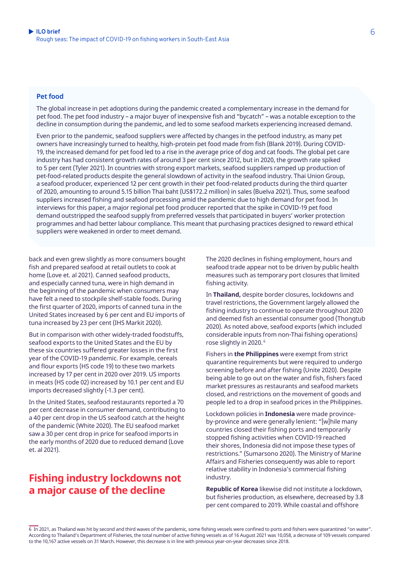#### **Pet food**

The global increase in pet adoptions during the pandemic created a complementary increase in the demand for pet food. The pet food industry – a major buyer of inexpensive fish and "bycatch" – was a notable exception to the decline in consumption during the pandemic, and led to some seafood markets experiencing increased demand.

Even prior to the pandemic, seafood suppliers were affected by changes in the petfood industry, as many pet owners have increasingly turned to healthy, high-protein pet food made from fish (Blank 2019). During COVID-19, the increased demand for pet food led to a rise in the average price of dog and cat foods. The global pet care industry has had consistent growth rates of around 3 per cent since 2012, but in 2020, the growth rate spiked to 5 per cent (Tyler 2021). In countries with strong export markets, seafood suppliers ramped up production of pet-food-related products despite the general slowdown of activity in the seafood industry. Thai Union Group, a seafood producer, experienced 12 per cent growth in their pet food-related products during the third quarter of 2020, amounting to around 5.15 billion Thai baht (US\$172.2 million) in sales (Buelva 2021). Thus, some seafood suppliers increased fishing and seafood processing amid the pandemic due to high demand for pet food. In interviews for this paper, a major regional pet food producer reported that the spike in COVID-19 pet food demand outstripped the seafood supply from preferred vessels that participated in buyers' worker protection programmes and had better labour compliance. This meant that purchasing practices designed to reward ethical suppliers were weakened in order to meet demand.

back and even grew slightly as more consumers bought fish and prepared seafood at retail outlets to cook at home (Love et. al 2021). Canned seafood products, and especially canned tuna, were in high demand in the beginning of the pandemic when consumers may have felt a need to stockpile shelf-stable foods. During the first quarter of 2020, imports of canned tuna in the United States increased by 6 per cent and EU imports of tuna increased by 23 per cent (IHS Markit 2020).

But in comparison with other widely-traded foodstuffs, seafood exports to the United States and the EU by these six countries suffered greater losses in the first year of the COVID-19 pandemic. For example, cereals and flour exports (HS code 19) to these two markets increased by 17 per cent in 2020 over 2019. US imports in meats (HS code 02) increased by 10.1 per cent and EU imports decreased slightly (-1.3 per cent).

In the United States, seafood restaurants reported a 70 per cent decrease in consumer demand, contributing to a 40 per cent drop in the US seafood catch at the height of the pandemic (White 2020). The EU seafood market saw a 30 per cent drop in price for seafood imports in the early months of 2020 due to reduced demand (Love et. al 2021).

### **Fishing industry lockdowns not a major cause of the decline**

The 2020 declines in fishing employment, hours and seafood trade appear not to be driven by public health measures such as temporary port closures that limited fishing activity.

In **Thailand,** despite border closures, lockdowns and travel restrictions, the Government largely allowed the fishing industry to continue to operate throughout 2020 and deemed fish an essential consumer good (Thongtub 2020). As noted above, seafood exports (which included considerable inputs from non-Thai fishing operations) rose slightly in 2020.<sup>6</sup>

Fishers in **the Philippines** were exempt from strict quarantine requirements but were required to undergo screening before and after fishing (Unite 2020). Despite being able to go out on the water and fish, fishers faced market pressures as restaurants and seafood markets closed, and restrictions on the movement of goods and people led to a drop in seafood prices in the Philippines.

Lockdown policies in **Indonesia** were made provinceby-province and were generally lenient: "[w]hile many countries closed their fishing ports and temporarily stopped fishing activities when COVID-19 reached their shores, Indonesia did not impose these types of restrictions." (Sumarsono 2020). The Ministry of Marine Affairs and Fisheries consequently was able to report relative stability in Indonesia's commercial fishing industry.

**Republic of Korea** likewise did not institute a lockdown, but fisheries production, as elsewhere, decreased by 3.8 per cent compared to 2019. While coastal and offshore

6 In 2021, as Thailand was hit by second and third waves of the pandemic, some fishing vessels were confined to ports and fishers were quarantined "on water". According to Thailand's Department of Fisheries, the total number of active fishing vessels as of 16 August 2021 was 10,058, a decrease of 109 vessels compared to the 10,167 active vessels on 31 March. However, this decrease is in line with previous year-on-year decreases since 2018.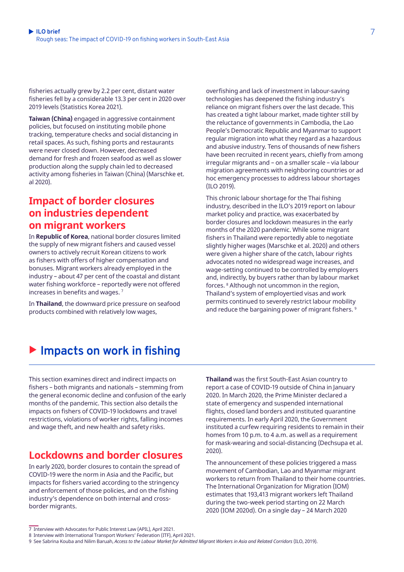fisheries actually grew by 2.2 per cent, distant water fisheries fell by a considerable 13.3 per cent in 2020 over 2019 levels (Statistics Korea 2021).

**Taiwan (China)** engaged in aggressive containment policies, but focused on instituting mobile phone tracking, temperature checks and social distancing in retail spaces. As such, fishing ports and restaurants were never closed down. However, decreased demand for fresh and frozen seafood as well as slower production along the supply chain led to decreased activity among fisheries in Taiwan (China) (Marschke et. al 2020).

### **Impact of border closures on industries dependent on migrant workers**

In **Republic of Korea**, national border closures limited the supply of new migrant fishers and caused vessel owners to actively recruit Korean citizens to work as fishers with offers of higher compensation and bonuses. Migrant workers already employed in the industry – about 47 per cent of the coastal and distant water fishing workforce – reportedly were not offered increases in benefits and wages. 7

In **Thailand**, the downward price pressure on seafood products combined with relatively low wages,

overfishing and lack of investment in labour-saving technologies has deepened the fishing industry's reliance on migrant fishers over the last decade. This has created a tight labour market, made tighter still by the reluctance of governments in Cambodia, the Lao People's Democratic Republic and Myanmar to support regular migration into what they regard as a hazardous and abusive industry. Tens of thousands of new fishers have been recruited in recent years, chiefly from among irregular migrants and – on a smaller scale – via labour migration agreements with neighboring countries or ad hoc emergency processes to address labour shortages (ILO 2019).

This chronic labour shortage for the Thai fishing industry, described in the ILO's 2019 report on labour market policy and practice, was exacerbated by border closures and lockdown measures in the early months of the 2020 pandemic. While some migrant fishers in Thailand were reportedly able to negotiate slightly higher wages (Marschke et al. 2020) and others were given a higher share of the catch, labour rights advocates noted no widespread wage increases, and wage-setting continued to be controlled by employers and, indirectly, by buyers rather than by labour market forces. 8 Although not uncommon in the region, Thailand's system of employertied visas and work permits continued to severely restrict labour mobility and reduce the bargaining power of migrant fishers.<sup>9</sup>

## ▶ Impacts on work in fishing

This section examines direct and indirect impacts on fishers – both migrants and nationals – stemming from the general economic decline and confusion of the early months of the pandemic. This section also details the impacts on fishers of COVID-19 lockdowns and travel restrictions, violations of worker rights, falling incomes and wage theft, and new health and safety risks.

### **Lockdowns and border closures**

In early 2020, border closures to contain the spread of COVID-19 were the norm in Asia and the Pacific, but impacts for fishers varied according to the stringency and enforcement of those policies, and on the fishing industry's dependence on both internal and crossborder migrants.

**Thailand** was the first South-East Asian country to report a case of COVID-19 outside of China in January 2020. In March 2020, the Prime Minister declared a state of emergency and suspended international flights, closed land borders and instituted quarantine requirements. In early April 2020, the Government instituted a curfew requiring residents to remain in their homes from 10 p.m. to 4 a.m. as well as a requirement for mask-wearing and social-distancing (Dechsupa et al. 2020).

The announcement of these policies triggered a mass movement of Cambodian, Lao and Myanmar migrant workers to return from Thailand to their home countries. The International Organization for Migration (IOM) estimates that 193,413 migrant workers left Thailand during the two-week period starting on 22 March 2020 (IOM 2020d). On a single day – 24 March 2020

<sup>7</sup> Interview with Advocates for Public Interest Law (APIL), April 2021.

<sup>8</sup> Interview with International Transport Workers' Federation (ITF), April 2021.

<sup>9</sup> See Sabrina Kouba and Nilim Baruah, *[Access to the Labour Market for Admitted Migrant Workers in Asia and Related Corridors](https://www.ilo.org/wcmsp5/groups/public/---asia/---ro-bangkok/documents/publication/wcms_669748.pdf)* (ILO, 2019).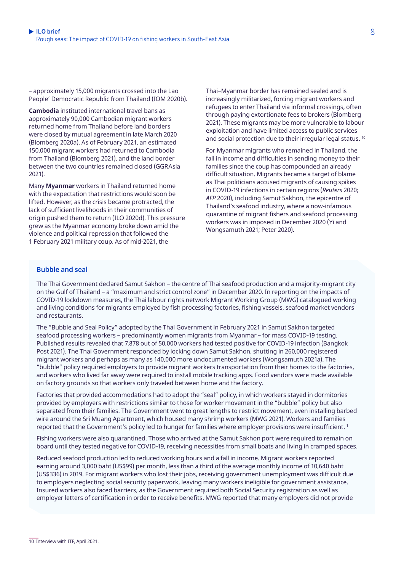– approximately 15,000 migrants crossed into the Lao People' Democratic Republic from Thailand (IOM 2020b).

**Cambodia** instituted international travel bans as approximately 90,000 Cambodian migrant workers returned home from Thailand before land borders were closed by mutual agreement in late March 2020 (Blomberg 2020a). As of February 2021, an estimated 150,000 migrant workers had returned to Cambodia from Thailand (Blomberg 2021), and the land border between the two countries remained closed (GGRAsia 2021).

Many **Myanmar** workers in Thailand returned home with the expectation that restrictions would soon be lifted. However, as the crisis became protracted, the lack of sufficient livelihoods in their communities of origin pushed them to return (ILO 2020d). This pressure grew as the Myanmar economy broke down amid the violence and political repression that followed the 1 February 2021 military coup. As of mid-2021, the

Thai–Myanmar border has remained sealed and is increasingly militarized, forcing migrant workers and refugees to enter Thailand via informal crossings, often through paying extortionate fees to brokers (Blomberg 2021). These migrants may be more vulnerable to labour exploitation and have limited access to public services and social protection due to their irregular legal status.<sup>10</sup>

For Myanmar migrants who remained in Thailand, the fall in income and difficulties in sending money to their families since the coup has compounded an already difficult situation. Migrants became a target of blame as Thai politicians accused migrants of causing spikes in COVID-19 infections in certain regions (*Reuters* 2020; *AFP* 2020), including Samut Sakhon, the epicentre of Thailand's seafood industry, where a now-infamous quarantine of migrant fishers and seafood processing workers was in imposed in December 2020 (Yi and Wongsamuth 2021; Peter 2020).

#### **Bubble and seal**

The Thai Government declared Samut Sakhon – the centre of Thai seafood production and a majority-migrant city on the Gulf of Thailand – a "maximum and strict control zone" in December 2020. In reporting on the impacts of COVID-19 lockdown measures, the Thai labour rights network Migrant Working Group (MWG) catalogued working and living conditions for migrants employed by fish processing factories, fishing vessels, seafood market vendors and restaurants.

The "Bubble and Seal Policy" adopted by the Thai Government in February 2021 in Samut Sakhon targeted seafood processing workers – predominantly women migrants from Myanmar – for mass COVID-19 testing. Published results revealed that 7,878 out of 50,000 workers had tested positive for COVID-19 infection (Bangkok Post 2021). The Thai Government responded by locking down Samut Sakhon, shutting in 260,000 registered migrant workers and perhaps as many as 140,000 more undocumented workers (Wongsamuth 2021a). The "bubble" policy required employers to provide migrant workers transportation from their homes to the factories, and workers who lived far away were required to install mobile tracking apps. Food vendors were made available on factory grounds so that workers only traveled between home and the factory.

Factories that provided accommodations had to adopt the "seal" policy, in which workers stayed in dormitories provided by employers with restrictions similar to those for worker movement in the "bubble" policy but also separated from their families. The Government went to great lengths to restrict movement, even installing barbed wire around the Sri Muang Apartment, which housed many shrimp workers (MWG 2021). Workers and families reported that the Government's policy led to hunger for families where employer provisions were insufficient. 1

Fishing workers were also quarantined. Those who arrived at the Samut Sakhon port were required to remain on board until they tested negative for COVID-19, receiving necessities from small boats and living in cramped spaces.

Reduced seafood production led to reduced working hours and a fall in income. Migrant workers reported earning around 3,000 baht (US\$99) per month, less than a third of the average monthly income of 10,640 baht (US\$336) in 2019. For migrant workers who lost their jobs, receiving government unemployment was difficult due to employers neglecting social security paperwork, leaving many workers ineligible for government assistance. Insured workers also faced barriers, as the Government required both Social Security registration as well as employer letters of certification in order to receive benefits. MWG reported that many employers did not provide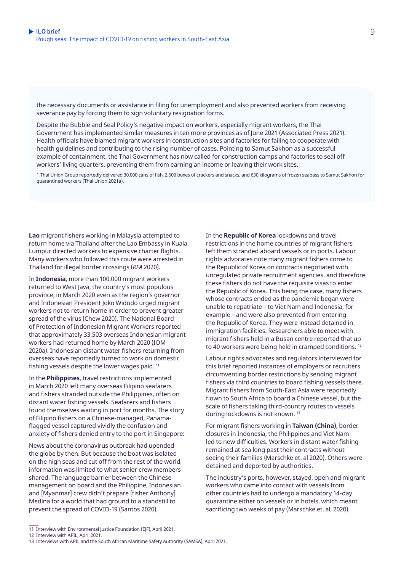the necessary documents or assistance in filing for unemployment and also prevented workers from receiving severance pay by forcing them to sign voluntary resignation forms.

Despite the Bubble and Seal Policy's negative impact on workers, especially migrant workers, the Thai Government has implemented similar measures in ten more provinces as of June 2021 (Associated Press 2021). Health officials have blamed migrant workers in construction sites and factories for failing to cooperate with health guidelines and contributing to the rising number of cases. Pointing to Samut Sakhon as a successful example of containment, the Thai Government has now called for construction camps and factories to seal off workers' living quarters, preventing them from earning an income or leaving their work sites.

1 Thai Union Group reportedly delivered 30,000 cans of fish, 2,600 boxes of crackers and snacks, and 630 kilograms of frozen seabass to Samut Sakhon for quarantined workers (Thai Union 2021a).

**Lao** migrant fishers working in Malaysia attempted to return home via Thailand after the Lao Embassy in Kuala Lumpur directed workers to expensive charter flights. Many workers who followed this route were arrested in Thailand for illegal border crossings (*RFA* 2020).

In **Indonesia**, more than 100,000 migrant workers returned to West Java, the country's most populous province, in March 2020 even as the region's governor and Indonesian President Joko Widodo urged migrant workers not to return home in order to prevent greater spread of the virus (Chew 2020). The National Board of Protection of Indonesian Migrant Workers reported that approximately 33,503 overseas Indonesian migrant workers had returned home by March 2020 (IOM 2020a). Indonesian distant water fishers returning from overseas have reportedly turned to work on domestic fishing vessels despite the lower wages paid. 11

In the **Philippines**, travel restrictions implemented in March 2020 left many overseas Filipino seafarers and fishers stranded outside the Philippines, often on distant water fishing vessels. Seafarers and fishers found themselves waiting in port for months. The story of Filipino fishers on a Chinese-managed, Panamaflagged vessel captured vividly the confusion and anxiety of fishers denied entry to the port in Singapore:

News about the coronavirus outbreak had upended the globe by then. But because the boat was isolated on the high seas and cut off from the rest of the world, information was limited to what senior crew members shared. The language barrier between the Chinese management on board and the Philippine, Indonesian and [Myanmar] crew didn't prepare [fisher Anthony] Medina for a world that had ground to a standstill to prevent the spread of COVID-19 (Santos 2020).

In the **Republic of Korea** lockdowns and travel restrictions in the home countries of migrant fishers left them stranded aboard vessels or in ports. Labour rights advocates note many migrant fishers come to the Republic of Korea on contracts negotiated with unregulated private recruitment agencies, and therefore these fishers do not have the requisite visas to enter the Republic of Korea. This being the case, many fishers whose contracts ended as the pandemic began were unable to repatriate – to Viet Nam and Indonesia, for example – and were also prevented from entering the Republic of Korea. They were instead detained in immigration facilities. Researchers able to meet with migrant fishers held in a Busan centre reported that up to 40 workers were being held in cramped conditions.<sup>12</sup>

Labour rights advocates and regulators interviewed for this brief reported instances of employers or recruiters circumventing border restrictions by sending migrant fishers via third countries to board fishing vessels there. Migrant fishers from South-East Asia were reportedly flown to South Africa to board a Chinese vessel, but the scale of fishers taking third-country routes to vessels during lockdowns is not known. 13

For migrant fishers working in **Taiwan (China)**, border closures in Indonesia, the Philippines and Viet Nam led to new difficulties. Workers in distant water fishing remained at sea long past their contracts without seeing their families (Marschke et. al 2020). Others were detained and deported by authorities.

The industry's ports, however, stayed, open and migrant workers who came into contact with vessels from other countries had to undergo a mandatory 14-day quarantine either on vessels or in hotels, which meant sacrificing two weeks of pay (Marschke et. al, 2020).

<sup>11</sup> Interview with Environmental Justice Foundation (EJF), April 2021.

<sup>12</sup> Interview with APIL, April 2021.

<sup>13</sup> Interviews with APIL and the South African Maritime Safety Authority (SAMSA), April 2021.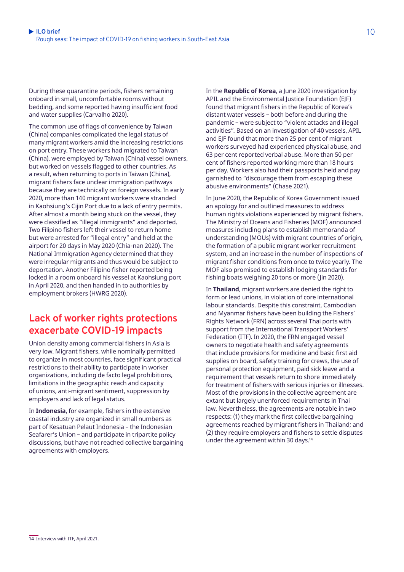During these quarantine periods, fishers remaining onboard in small, uncomfortable rooms without bedding, and some reported having insufficient food and water supplies (Carvalho 2020).

The common use of flags of convenience by Taiwan (China) companies complicated the legal status of many migrant workers amid the increasing restrictions on port entry. These workers had migrated to Taiwan (China), were employed by Taiwan (China) vessel owners, but worked on vessels flagged to other countries. As a result, when returning to ports in Taiwan (China), migrant fishers face unclear immigration pathways because they are technically on foreign vessels. In early 2020, more than 140 migrant workers were stranded in Kaohsiung's Cijin Port due to a lack of entry permits. After almost a month being stuck on the vessel, they were classified as "illegal immigrants" and deported. Two Filipino fishers left their vessel to return home but were arrested for "illegal entry" and held at the airport for 20 days in May 2020 (Chia-nan 2020). The National Immigration Agency determined that they were irregular migrants and thus would be subject to deportation. Another Filipino fisher reported being locked in a room onboard his vessel at Kaohsiung port in April 2020, and then handed in to authorities by employment brokers (HWRG 2020).

### **Lack of worker rights protections exacerbate COVID-19 impacts**

Union density among commercial fishers in Asia is very low. Migrant fishers, while nominally permitted to organize in most countries, face significant practical restrictions to their ability to participate in worker organizations, including de facto legal prohibitions, limitations in the geographic reach and capacity of unions, anti-migrant sentiment, suppression by employers and lack of legal status.

In **Indonesia**, for example, fishers in the extensive coastal industry are organized in small numbers as part of Kesatuan Pelaut Indonesia – the Indonesian Seafarer's Union – and participate in tripartite policy discussions, but have not reached collective bargaining agreements with employers.

In the **Republic of Korea**, a June 2020 investigation by APIL and the Environmental Justice Foundation (EJF) found that migrant fishers in the Republic of Korea's distant water vessels – both before and during the pandemic – were subject to "violent attacks and illegal activities". Based on an investigation of 40 vessels, APIL and EJF found that more than 25 per cent of migrant workers surveyed had experienced physical abuse, and 63 per cent reported verbal abuse. More than 50 per cent of fishers reported working more than 18 hours per day. Workers also had their passports held and pay garnished to "discourage them from escaping these abusive environments" (Chase 2021).

In June 2020, the Republic of Korea Government issued an apology for and outlined measures to address human rights violations experienced by migrant fishers. The Ministry of Oceans and Fisheries (MOF) announced measures including plans to establish memoranda of understanding (MOUs) with migrant countries of origin, the formation of a public migrant worker recruitment system, and an increase in the number of inspections of migrant fisher conditions from once to twice yearly. The MOF also promised to establish lodging standards for fishing boats weighing 20 tons or more (Jin 2020).

In **Thailand**, migrant workers are denied the right to form or lead unions, in violation of core international labour standards. Despite this constraint, Cambodian and Myanmar fishers have been building the Fishers' Rights Network (FRN) across several Thai ports with support from the International Transport Workers' Federation (ITF). In 2020, the FRN engaged vessel owners to negotiate health and safety agreements that include provisions for medicine and basic first aid supplies on board, safety training for crews, the use of personal protection equipment, paid sick leave and a requirement that vessels return to shore immediately for treatment of fishers with serious injuries or illnesses. Most of the provisions in the collective agreement are extant but largely unenforced requirements in Thai law. Nevertheless, the agreements are notable in two respects: (1) they mark the first collective bargaining agreements reached by migrant fishers in Thailand; and (2) they require employers and fishers to settle disputes under the agreement within 30 days.14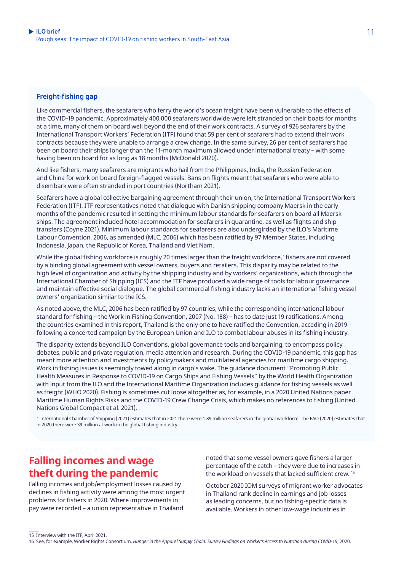#### **Freight-fishing gap**

Like commercial fishers, the seafarers who ferry the world's ocean freight have been vulnerable to the effects of the COVID-19 pandemic. Approximately 400,000 seafarers worldwide were left stranded on their boats for months at a time, many of them on board well beyond the end of their work contracts. A survey of 926 seafarers by the International Transport Workers' Federation (ITF) found that 59 per cent of seafarers had to extend their work contracts because they were unable to arrange a crew change. In the same survey, 26 per cent of seafarers had been on board their ships longer than the 11-month maximum allowed under international treaty – with some having been on board for as long as 18 months (McDonald 2020).

And like fishers, many seafarers are migrants who hail from the Philippines, India, the Russian Federation and China for work on board foreign-flagged vessels. Bans on flights meant that seafarers who were able to disembark were often stranded in port countries (Northam 2021).

Seafarers have a global collective bargaining agreement through their union, the International Transport Workers Federation (ITF). ITF representatives noted that dialogue with Danish shipping company Maersk in the early months of the pandemic resulted in setting the minimum labour standards for seafarers on board all Maersk ships. The agreement included hotel accommodation for seafarers in quarantine, as well as flights and ship transfers (Coyne 2021). Minimum labour standards for seafarers are also undergirded by the ILO's Maritime Labour Convention, 2006, as amended (MLC, 2006) which has been ratified by 97 Member States, including Indonesia, Japan, the Republic of Korea, Thailand and Viet Nam.

While the global fishing workforce is roughly 20 times larger than the freight workforce, 1 fishers are not covered by a binding global agreement with vessel owners, buyers and retailers. This disparity may be related to the high level of organization and activity by the shipping industry and by workers' organizations, which through the International Chamber of Shipping (ICS) and the ITF have produced a wide range of tools for labour governance and maintain effective social dialogue. The global commercial fishing industry lacks an international fishing vessel owners' organization similar to the ICS.

As noted above, the MLC, 2006 has been ratified by 97 countries, while the corresponding international labour standard for fishing – the Work in Fishing Convention, 2007 (No. 188) – has to date just 19 ratifications. Among the countries examined in this report, Thailand is the only one to have ratified the Convention, acceding in 2019 following a concerted campaign by the European Union and ILO to combat labour abuses in its fishing industry.

The disparity extends beyond ILO Conventions, global governance tools and bargaining, to encompass policy debates, public and private regulation, media attention and research. During the COVID-19 pandemic, this gap has meant more attention and investments by policymakers and multilateral agencies for maritime cargo shipping. Work in fishing issues is seemingly towed along in cargo's wake. The guidance document "Promoting Public Health Measures in Response to COVID-19 on Cargo Ships and Fishing Vessels" by the World Health Organization with input from the ILO and the International Maritime Organization includes guidance for fishing vessels as well as freight (WHO 2020). Fishing is sometimes cut loose altogether as, for example, in a 2020 United Nations paper Maritime Human Rights Risks and the COVID-19 Crew Change Crisis, which makes no references to fishing (United Nations Global Compact et al. 2021).

1 International Chamber of Shipping (2021) estimates that in 2021 there were 1.89 million seafarers in the global workforce. The FAO (2020) estimates that in 2020 there were 39 million at work in the global fishing industry.

### **Falling incomes and wage theft during the pandemic**

Falling incomes and job/employment losses caused by declines in fishing activity were among the most urgent problems for fishers in 2020. Where improvements in pay were recorded – a union representative in Thailand

noted that some vessel owners gave fishers a larger percentage of the catch – they were due to increases in the workload on vessels that lacked sufficient crew. 15

October 2020 IOM surveys of migrant worker advocates in Thailand rank decline in earnings and job losses as leading concerns, but no fishing-specific data is available. Workers in other low-wage industries in

<sup>15</sup> Interview with the ITF, April 2021.

<sup>16</sup> See, for example, Worker Rights Consortium, *[Hunger in the Apparel Supply Chain: Survey Findings on Worker's Access to Nutrition during COVID-19](https://www.workersrights.org/wp-content/uploads/2020/11/Hunger-in-the-Apparel-Supply-Chain.pdf)*, 2020.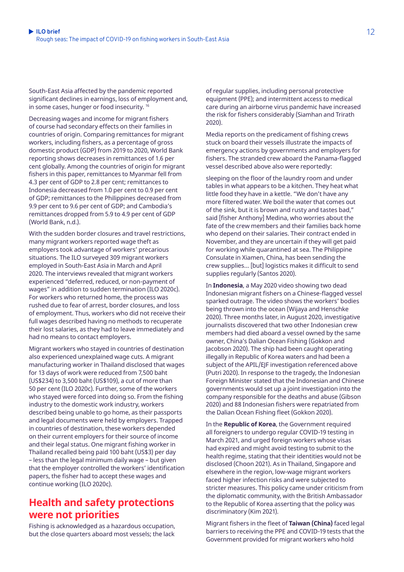South-East Asia affected by the pandemic reported significant declines in earnings, loss of employment and, in some cases, hunger or food insecurity.<sup>16</sup>

Decreasing wages and income for migrant fishers of course had secondary effects on their families in countries of origin. Comparing remittances for migrant workers, including fishers, as a percentage of gross domestic product (GDP) from 2019 to 2020, World Bank reporting shows decreases in remittances of 1.6 per cent globally. Among the countries of origin for migrant fishers in this paper, remittances to Myanmar fell from 4.3 per cent of GDP to 2.8 per cent; remittances to Indonesia decreased from 1.0 per cent to 0.9 per cent of GDP; remittances to the Philippines decreased from 9.9 per cent to 9.6 per cent of GDP; and Cambodia's remittances dropped from 5.9 to 4.9 per cent of GDP (World Bank, n.d.).

With the sudden border closures and travel restrictions, many migrant workers reported wage theft as employers took advantage of workers' precarious situations. The ILO surveyed 309 migrant workers employed in South-East Asia in March and April 2020. The interviews revealed that migrant workers experienced "deferred, reduced, or non-payment of wages" in addition to sudden termination (ILO 2020c). For workers who returned home, the process was rushed due to fear of arrest, border closures, and loss of employment. Thus, workers who did not receive their full wages described having no methods to recuperate their lost salaries, as they had to leave immediately and had no means to contact employers.

Migrant workers who stayed in countries of destination also experienced unexplained wage cuts. A migrant manufacturing worker in Thailand disclosed that wages for 13 days of work were reduced from 7,500 baht (US\$234) to 3,500 baht (US\$109), a cut of more than 50 per cent (ILO 2020c). Further, some of the workers who stayed were forced into doing so. From the fishing industry to the domestic work industry, workers described being unable to go home, as their passports and legal documents were held by employers. Trapped in countries of destination, these workers depended on their current employers for their source of income and their legal status. One migrant fishing worker in Thailand recalled being paid 100 baht (US\$3) per day – less than the legal minimum daily wage – but given that the employer controlled the workers' identification papers, the fisher had to accept these wages and continue working (ILO 2020c).

### **Health and safety protections were not priorities**

Fishing is acknowledged as a hazardous occupation, but the close quarters aboard most vessels; the lack of regular supplies, including personal protective equipment (PPE); and intermittent access to medical care during an airborne virus pandemic have increased the risk for fishers considerably (Siamhan and Trirath 2020).

Media reports on the predicament of fishing crews stuck on board their vessels illustrate the impacts of emergency actions by governments and employers for fishers. The stranded crew aboard the Panama-flagged vessel described above also were reportedly:

sleeping on the floor of the laundry room and under tables in what appears to be a kitchen. They heat what little food they have in a kettle. "We don't have any more filtered water. We boil the water that comes out of the sink, but it is brown and rusty and tastes bad," said [fisher Anthony] Medina, who worries about the fate of the crew members and their families back home who depend on their salaries. Their contract ended in November, and they are uncertain if they will get paid for working while quarantined at sea. The Philippine Consulate in Xiamen, China, has been sending the crew supplies… [but] logistics makes it difficult to send supplies regularly (Santos 2020).

In **Indonesia**, a May 2020 video showing two dead Indonesian migrant fishers on a Chinese-flagged vessel sparked outrage. The video shows the workers' bodies being thrown into the ocean (Wijaya and Henschke 2020). Three months later, in August 2020, investigative journalists discovered that two other Indonesian crew members had died aboard a vessel owned by the same owner, China's Dalian Ocean Fishing (Gokkon and Jacobson 2020). The ship had been caught operating illegally in Republic of Korea waters and had been a subject of the APIL/EJF investigation referenced above (Putri 2020). In response to the tragedy, the Indonesian Foreign Minister stated that the Indonesian and Chinese governments would set up a joint investigation into the company responsible for the deaths and abuse (Gibson 2020) and 88 Indonesian fishers were repatriated from the Dalian Ocean Fishing fleet (Gokkon 2020).

In the **Republic of Korea**, the Government required all foreigners to undergo regular COVID-19 testing in March 2021, and urged foreign workers whose visas had expired and might avoid testing to submit to the health regime, stating that their identities would not be disclosed (Choon 2021). As in Thailand, Singapore and elsewhere in the region, low-wage migrant workers faced higher infection risks and were subjected to stricter measures. This policy came under criticism from the diplomatic community, with the British Ambassador to the Republic of Korea asserting that the policy was discriminatory (Kim 2021).

Migrant fishers in the fleet of **Taiwan (China)** faced legal barriers to receiving the PPE and COVID-19 tests that the Government provided for migrant workers who hold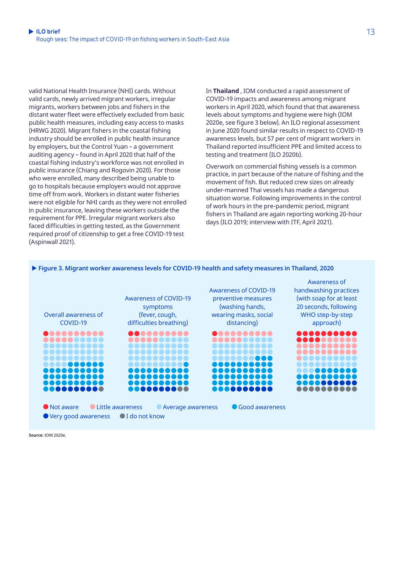valid National Health Insurance (NHI) cards. Without valid cards, newly arrived migrant workers, irregular migrants, workers between jobs and fishers in the distant water fleet were effectively excluded from basic public health measures, including easy access to masks (HRWG 2020). Migrant fishers in the coastal fishing industry should be enrolled in public health insurance by employers, but the Control Yuan – a government auditing agency – found in April 2020 that half of the coastal fishing industry's workforce was not enrolled in public insurance (Chiang and Rogovin 2020). For those who were enrolled, many described being unable to go to hospitals because employers would not approve time off from work. Workers in distant water fisheries were not eligible for NHI cards as they were not enrolled in public insurance, leaving these workers outside the requirement for PPE. Irregular migrant workers also faced difficulties in getting tested, as the Government required proof of citizenship to get a free COVID-19 test (Aspinwall 2021).

In **Thailand** , IOM conducted a rapid assessment of COVID-19 impacts and awareness among migrant workers in April 2020, which found that that awareness levels about symptoms and hygiene were high (IOM 2020e, see figure 3 below). An ILO regional assessment in June 2020 found similar results in respect to COVID-19 awareness levels, but 57 per cent of migrant workers in Thailand reported insufficient PPE and limited access to testing and treatment (ILO 2020b).

Overwork on commercial fishing vessels is a common practice, in part because of the nature of fishing and the movement of fish. But reduced crew sizes on already under-manned Thai vessels has made a dangerous situation worse. Following improvements in the control of work hours in the pre-pandemic period, migrant fishers in Thailand are again reporting working 20-hour days (ILO 2019; interview with ITF, April 2021).



```
Figure 3. Migrant worker awareness levels for COVID-19 health and safety measures in Thailand, 2020
```
**Source**: IOM 2020e.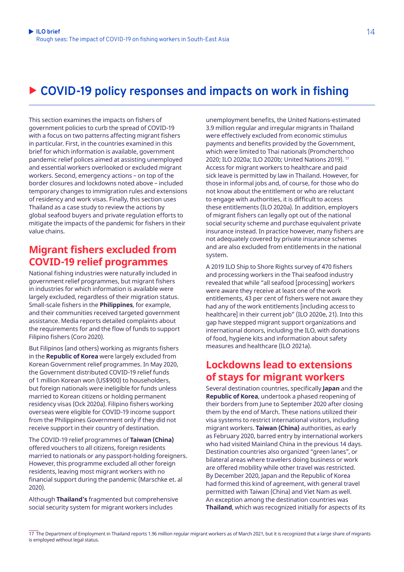# ▶ COVID-19 policy responses and impacts on work in fishing

This section examines the impacts on fishers of government policies to curb the spread of COVID-19 with a focus on two patterns affecting migrant fishers in particular. First, in the countries examined in this brief for which information is available, government pandemic relief polices aimed at assisting unemployed and essential workers overlooked or excluded migrant workers. Second, emergency actions – on top of the border closures and lockdowns noted above – included temporary changes to immigration rules and extensions of residency and work visas. Finally, this section uses Thailand as a case study to review the actions by global seafood buyers and private regulation efforts to mitigate the impacts of the pandemic for fishers in their value chains.

### **Migrant fishers excluded from COVID-19 relief programmes**

National fishing industries were naturally included in government relief programmes, but migrant fishers in industries for which information is available were largely excluded, regardless of their migration status. Small-scale fishers in the **Philippines**, for example, and their communities received targeted government assistance. Media reports detailed complaints about the requirements for and the flow of funds to support Filipino fishers (Coro 2020).

But Filipinos (and others) working as migrants fishers in the **Republic of Korea** were largely excluded from Korean Government relief programmes. In May 2020, the Government distributed COVID-19 relief funds of 1 million Korean won (US\$900) to householders, but foreign nationals were ineligible for funds unless married to Korean citizens or holding permanent residency visas (Ock 2020a). Filipino fishers working overseas were eligible for COVID-19 income support from the Philippines Government only if they did not receive support in their country of destination.

The COVID-19 relief programmes of **Taiwan (China)**  offered vouchers to all citizens, foreign residents married to nationals or any passport-holding foreigners. However, this programme excluded all other foreign residents, leaving most migrant workers with no financial support during the pandemic (Marschke et. al 2020).

Although **Thailand's** fragmented but comprehensive social security system for migrant workers includes

unemployment benefits, the United Nations-estimated 3.9 million regular and irregular migrants in Thailand were effectively excluded from economic stimulus payments and benefits provided by the Government, which were limited to Thai nationals (Promchertchoo 2020; ILO 2020a; ILO 2020b; United Nations 2019). 17 Access for migrant workers to healthcare and paid sick leave is permitted by law in Thailand. However, for those in informal jobs and, of course, for those who do not know about the entitlement or who are reluctant to engage with authorities, it is difficult to access these entitlements (ILO 2020a). In addition, employers of migrant fishers can legally opt out of the national social security scheme and purchase equivalent private insurance instead. In practice however, many fishers are not adequately covered by private insurance schemes and are also excluded from entitlements in the national system.

A 2019 ILO Ship to Shore Rights survey of 470 fishers and processing workers in the Thai seafood industry revealed that while "all seafood [processing] workers were aware they receive at least one of the work entitlements, 43 per cent of fishers were not aware they had any of the work entitlements [including access to healthcare] in their current job" (ILO 2020e, 21). Into this gap have stepped migrant support organizations and international donors, including the ILO, with donations of food, hygiene kits and information about safety measures and healthcare (ILO 2021a).

### **Lockdowns lead to extensions of stays for migrant workers**

Several destination countries, specifically **Japan** and the **Republic of Korea**, undertook a phased reopening of their borders from June to September 2020 after closing them by the end of March. These nations utilized their visa systems to restrict international visitors, including migrant workers. **Taiwan (China)** authorities, as early as February 2020, barred entry by international workers who had visited Mainland China in the previous 14 days. Destination countries also organized "green lanes", or bilateral areas where travelers doing business or work are offered mobility while other travel was restricted. By December 2020, Japan and the Republic of Korea had formed this kind of agreement, with general travel permitted with Taiwan (China) and Viet Nam as well. An exception among the destination countries was **Thailand**, which was recognized initially for aspects of its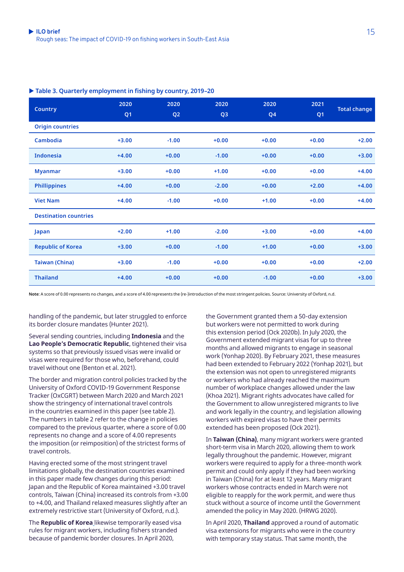#### ▶ Table 3. Quarterly employment in fishing by country, 2019-20

| <b>Country</b>               | 2020<br>Q <sub>1</sub> | 2020<br>Q <sub>2</sub> | 2020<br>Q <sub>3</sub> | 2020<br>Q <sub>4</sub> | 2021<br>Q <sub>1</sub> | <b>Total change</b> |
|------------------------------|------------------------|------------------------|------------------------|------------------------|------------------------|---------------------|
| <b>Origin countries</b>      |                        |                        |                        |                        |                        |                     |
| Cambodia                     | $+3.00$                | $-1.00$                | $+0.00$                | $+0.00$                | $+0.00$                | $+2.00$             |
| <b>Indonesia</b>             | $+4.00$                | $+0.00$                | $-1.00$                | $+0.00$                | $+0.00$                | $+3.00$             |
| <b>Myanmar</b>               | $+3.00$                | $+0.00$                | $+1.00$                | $+0.00$                | $+0.00$                | $+4.00$             |
| <b>Phillippines</b>          | $+4.00$                | $+0.00$                | $-2.00$                | $+0.00$                | $+2.00$                | $+4.00$             |
| <b>Viet Nam</b>              | $+4.00$                | $-1.00$                | $+0.00$                | $+1.00$                | $+0.00$                | $+4.00$             |
| <b>Destination countries</b> |                        |                        |                        |                        |                        |                     |
| Japan                        | $+2.00$                | $+1.00$                | $-2.00$                | $+3.00$                | $+0.00$                | $+4.00$             |
| <b>Republic of Korea</b>     | $+3.00$                | $+0.00$                | $-1.00$                | $+1.00$                | $+0.00$                | $+3.00$             |
| <b>Taiwan (China)</b>        | $+3.00$                | $-1.00$                | $+0.00$                | $+0.00$                | $+0.00$                | $+2.00$             |
| <b>Thailand</b>              | $+4.00$                | $+0.00$                | $+0.00$                | $-1.00$                | $+0.00$                | $+3.00$             |

**Note**: A score of 0.00 represents no changes, and a score of 4.00 represents the (re-)introduction of the most stringent policies. Source: University of Oxford, n.d.

handling of the pandemic, but later struggled to enforce its border closure mandates (Hunter 2021).

Several sending countries, including **Indonesia** and the **Lao People's Democratic Republic**, tightened their visa systems so that previously issued visas were invalid or visas were required for those who, beforehand, could travel without one (Benton et al. 2021).

The border and migration control policies tracked by the University of Oxford COVID-19 Government Response Tracker (OxCGRT) between March 2020 and March 2021 show the stringency of international travel controls in the countries examined in this paper (see table 2). The numbers in table 2 refer to the change in policies compared to the previous quarter, where a score of 0.00 represents no change and a score of 4.00 represents the imposition (or reimposition) of the strictest forms of travel controls.

Having erected some of the most stringent travel limitations globally, the destination countries examined in this paper made few changes during this period: Japan and the Republic of Korea maintained +3.00 travel controls, Taiwan (China) increased its controls from +3.00 to +4.00, and Thailand relaxed measures slightly after an extremely restrictive start (University of Oxford, n.d.).

The **Republic of Korea** likewise temporarily eased visa rules for migrant workers, including fishers stranded because of pandemic border closures. In April 2020,

the Government granted them a 50-day extension but workers were not permitted to work during this extension period (Ock 2020b). In July 2020, the Government extended migrant visas for up to three months and allowed migrants to engage in seasonal work (Yonhap 2020). By February 2021, these measures had been extended to February 2022 (Yonhap 2021), but the extension was not open to unregistered migrants or workers who had already reached the maximum number of workplace changes allowed under the law (Khoa 2021). Migrant rights advocates have called for the Government to allow unregistered migrants to live and work legally in the country, and legislation allowing workers with expired visas to have their permits extended has been proposed (Ock 2021).

In **Taiwan (China)**, many migrant workers were granted short-term visa in March 2020, allowing them to work legally throughout the pandemic. However, migrant workers were required to apply for a three-month work permit and could only apply if they had been working in Taiwan (China) for at least 12 years. Many migrant workers whose contracts ended in March were not eligible to reapply for the work permit, and were thus stuck without a source of income until the Government amended the policy in May 2020. (HRWG 2020).

In April 2020, **Thailand** approved a round of automatic visa extensions for migrants who were in the country with temporary stay status. That same month, the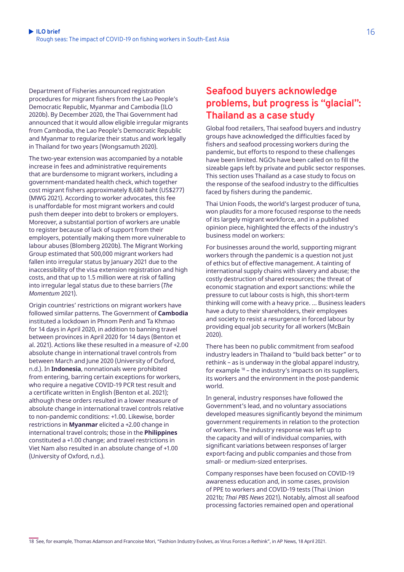Department of Fisheries announced registration procedures for migrant fishers from the Lao People's Democratic Republic, Myanmar and Cambodia (ILO 2020b). By December 2020, the Thai Government had announced that it would allow eligible irregular migrants from Cambodia, the Lao People's Democratic Republic and Myanmar to regularize their status and work legally in Thailand for two years (Wongsamuth 2020).

The two-year extension was accompanied by a notable increase in fees and administrative requirements that are burdensome to migrant workers, including a government-mandated health check, which together cost migrant fishers approximately 8,680 baht (US\$277) (MWG 2021). According to worker advocates, this fee is unaffordable for most migrant workers and could push them deeper into debt to brokers or employers. Moreover, a substantial portion of workers are unable to register because of lack of support from their employers, potentially making them more vulnerable to labour abuses (Blomberg 2020b). The Migrant Working Group estimated that 500,000 migrant workers had fallen into irregular status by January 2021 due to the inaccessibility of the visa extension registration and high costs, and that up to 1.5 million were at risk of falling into irregular legal status due to these barriers (*The Momentum* 2021).

Origin countries' restrictions on migrant workers have followed similar patterns. The Government of **Cambodia** instituted a lockdown in Phnom Penh and Ta Khmao for 14 days in April 2020, in addition to banning travel between provinces in April 2020 for 14 days (Benton et al. 2021). Actions like these resulted in a measure of +2.00 absolute change in international travel controls from between March and June 2020 (University of Oxford, n.d.). In **Indonesia**, nonnationals were prohibited from entering, barring certain exceptions for workers, who require a negative COVID-19 PCR test result and a certificate written in English (Benton et al. 2021); although these orders resulted in a lower measure of absolute change in international travel controls relative to non-pandemic conditions: +1.00. Likewise, border restrictions in **Myanmar** elicited a +2.00 change in international travel controls; those in the **Philippines** constituted a +1.00 change; and travel restrictions in Viet Nam also resulted in an absolute change of +1.00 (University of Oxford, n.d.).

### **Seafood buyers acknowledge problems, but progress is "glacial": Thailand as a case study**

Global food retailers, Thai seafood buyers and industry groups have acknowledged the difficulties faced by fishers and seafood processing workers during the pandemic, but efforts to respond to these challenges have been limited. NGOs have been called on to fill the sizeable gaps left by private and public sector responses. This section uses Thailand as a case study to focus on the response of the seafood industry to the difficulties faced by fishers during the pandemic.

Thai Union Foods, the world's largest producer of tuna, won plaudits for a more focused response to the needs of its largely migrant workforce, and in a published opinion piece, highlighted the effects of the industry's business model on workers:

For businesses around the world, supporting migrant workers through the pandemic is a question not just of ethics but of effective management. A tainting of international supply chains with slavery and abuse; the costly destruction of shared resources; the threat of economic stagnation and export sanctions: while the pressure to cut labour costs is high, this short-term thinking will come with a heavy price. … Business leaders have a duty to their shareholders, their employees and society to resist a resurgence in forced labour by providing equal job security for all workers (McBain 2020).

There has been no public commitment from seafood industry leaders in Thailand to "build back better" or to rethink – as is underway in the global apparel industry, for example 18 – the industry's impacts on its suppliers, its workers and the environment in the post-pandemic world.

In general, industry responses have followed the Government's lead, and no voluntary associations developed measures significantly beyond the minimum government requirements in relation to the protection of workers. The industry response was left up to the capacity and will of individual companies, with significant variations between responses of larger export-facing and public companies and those from small- or medium-sized enterprises.

Company responses have been focused on COVID-19 awareness education and, in some cases, provision of PPE to workers and COVID-19 tests (Thai Union 2021b; *Thai PBS News* 2021). Notably, almost all seafood processing factories remained open and operational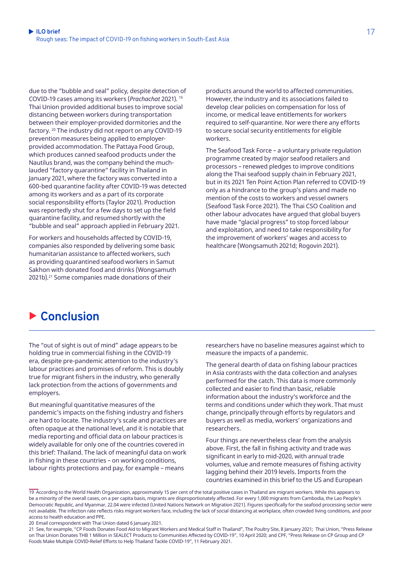due to the "bubble and seal" policy, despite detection of COVID-19 cases among its workers (*Prachachat* 2021). 19 Thai Union provided additional buses to improve social distancing between workers during transportation between their employer-provided dormitories and the factory. <sup>20</sup> The industry did not report on any COVID-19 prevention measures being applied to employerprovided accommodation. The Pattaya Food Group, which produces canned seafood products under the Nautilus brand, was the company behind the muchlauded "factory quarantine" facility in Thailand in January 2021, where the factory was converted into a 600-bed quarantine facility after COVID-19 was detected among its workers and as a part of its corporate social responsibility efforts (Taylor 2021). Production was reportedly shut for a few days to set up the field quarantine facility, and resumed shortly with the "bubble and seal" approach applied in February 2021.

For workers and households affected by COVID-19, companies also responded by delivering some basic humanitarian assistance to affected workers, such as providing quarantined seafood workers in Samut Sakhon with donated food and drinks (Wongsamuth 2021b).21 Some companies made donations of their

products around the world to affected communities. However, the industry and its associations failed to develop clear policies on compensation for loss of income, or medical leave entitlements for workers required to self-quarantine. Nor were there any efforts to secure social security entitlements for eligible workers.

The Seafood Task Force – a voluntary private regulation programme created by major seafood retailers and processors – renewed pledges to improve conditions along the Thai seafood supply chain in February 2021, but in its 2021 Ten Point Action Plan referred to COVID-19 only as a hindrance to the group's plans and made no mention of the costs to workers and vessel owners (Seafood Task Force 2021). The Thai CSO Coalition and other labour advocates have argued that global buyers have made "glacial progress" to stop forced labour and exploitation, and need to take responsibility for the improvement of workers' wages and access to healthcare (Wongsamuth 2021d; Rogovin 2021).

# **E** Conclusion

The "out of sight is out of mind" adage appears to be holding true in commercial fishing in the COVID-19 era, despite pre-pandemic attention to the industry's labour practices and promises of reform. This is doubly true for migrant fishers in the industry, who generally lack protection from the actions of governments and employers.

But meaningful quantitative measures of the pandemic's impacts on the fishing industry and fishers are hard to locate. The industry's scale and practices are often opaque at the national level, and it is notable that media reporting and official data on labour practices is widely available for only one of the countries covered in this brief: Thailand. The lack of meaningful data on work in fishing in these countries – on working conditions, labour rights protections and pay, for example – means

researchers have no baseline measures against which to measure the impacts of a pandemic.

The general dearth of data on fishing labour practices in Asia contrasts with the data collection and analyses performed for the catch. This data is more commonly collected and easier to find than basic, reliable information about the industry's workforce and the terms and conditions under which they work. That must change, principally through efforts by regulators and buyers as well as media, workers' organizations and researchers.

Four things are nevertheless clear from the analysis above. First, the fall in fishing activity and trade was significant in early to mid-2020, with annual trade volumes, value and remote measures of fishing activity lagging behind their 2019 levels. Imports from the countries examined in this brief to the US and European

19 According to the World Health Organization, approximately 15 per cent of the total positive cases in Thailand are migrant workers. While this appears to be a minority of the overall cases, on a per capita basis, migrants are disproportionately affected. For every 1,000 migrants from Cambodia, the Lao People's Democratic Republic, and Myanmar, 22.04 were infected (United Nations Network on Migration 2021). Figures specifically for the seafood processing sector were not available. The infection rate reflects risks migrant workers face, including the lack of social distancing at workplace, often crowded living conditions, and poor access to health education and PPE.

20 Email correspondent with Thai Union dated 6 January 2021.

21 See, for example, ["CP Foods Donates Food Aid to Migrant Workers and Medical Staff in Thailand"](https://www.thepoultrysite.com/news/2021/01/cp-foods-donates-food-aid-to-migrant-workers-and-medical-staff-in-thailand), The Poultry Site, 8 January 2021; Thai Union, ["Press Release](https://www.thaiunion.com/en/newsroom/press-release/1162/thai-union-donates-thb-1-million-in-sealect-products-to-communities-affected-by-covid-19)  [on Thai Union Donates THB 1 Million in SEALECT Products to Communities Affected by COVID-19",](https://www.thaiunion.com/en/newsroom/press-release/1162/thai-union-donates-thb-1-million-in-sealect-products-to-communities-affected-by-covid-19) 10 April 2020; and CPF, ["Press Release on CP Group and CP](https://www.cpfworldwide.com/en/media-center/corporate-Covid-relief-2021)  [Foods Make Multiple COVID-Relief Efforts to Help Thailand Tackle COVID-19",](https://www.cpfworldwide.com/en/media-center/corporate-Covid-relief-2021) 11 February 2021.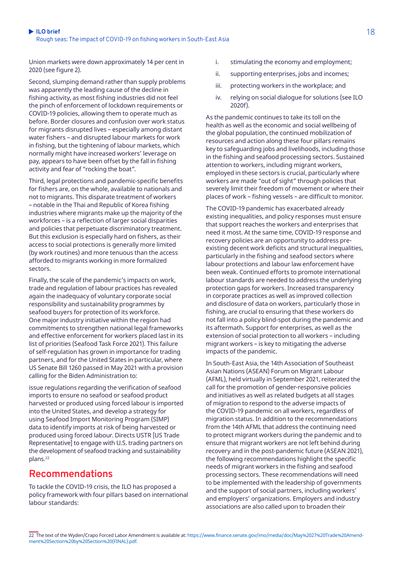Union markets were down approximately 14 per cent in 2020 (see figure 2).

Second, slumping demand rather than supply problems was apparently the leading cause of the decline in fishing activity, as most fishing industries did not feel the pinch of enforcement of lockdown requirements or COVID-19 policies, allowing them to operate much as before. Border closures and confusion over work status for migrants disrupted lives – especially among distant water fishers – and disrupted labour markets for work in fishing, but the tightening of labour markets, which normally might have increased workers' leverage on pay, appears to have been offset by the fall in fishing activity and fear of "rocking the boat".

Third, legal protections and pandemic-specific benefits for fishers are, on the whole, available to nationals and not to migrants. This disparate treatment of workers – notable in the Thai and Republic of Korea fishing industries where migrants make up the majority of the workforces – is a reflection of larger social disparities and policies that perpetuate discriminatory treatment. But this exclusion is especially hard on fishers, as their access to social protections is generally more limited (by work routines) and more tenuous than the access afforded to migrants working in more formalized sectors.

Finally, the scale of the pandemic's impacts on work, trade and regulation of labour practices has revealed again the inadequacy of voluntary corporate social responsibility and sustainability programmes by seafood buyers for protection of its workforce. One major industry initiative within the region had commitments to strengthen national legal frameworks and effective enforcement for workers placed last in its list of priorities (Seafood Task Force 2021). This failure of self-regulation has grown in importance for trading partners, and for the United States in particular, where US Senate Bill 1260 passed in May 2021 with a provision calling for the Biden Administration to:

issue regulations regarding the verification of seafood imports to ensure no seafood or seafood product harvested or produced using forced labour is imported into the United States, and develop a strategy for using Seafood Import Monitoring Program (SIMP) data to identify imports at risk of being harvested or produced using forced labour. Directs USTR [US Trade Representative] to engage with U.S. trading partners on the development of seafood tracking and sustainability plans.<sup>22</sup>

### **Recommendations**

To tackle the COVID-19 crisis, the ILO has proposed a policy framework with four pillars based on international labour standards:

- i. stimulating the economy and employment;
- ii. supporting enterprises, jobs and incomes;
- iii. protecting workers in the workplace; and
- iv. relying on social dialogue for solutions (see ILO 2020f).

As the pandemic continues to take its toll on the health as well as the economic and social wellbeing of the global population, the continued mobilization of resources and action along these four pillars remains key to safeguarding jobs and livelihoods, including those in the fishing and seafood processing sectors. Sustained attention to workers, including migrant workers, employed in these sectors is crucial, particularly where workers are made "out of sight" through policies that severely limit their freedom of movement or where their places of work – fishing vessels – are difficult to monitor.

The COVID-19 pandemic has exacerbated already existing inequalities, and policy responses must ensure that support reaches the workers and enterprises that need it most. At the same time, COVID-19 response and recovery policies are an opportunity to address preexisting decent work deficits and structural inequalities, particularly in the fishing and seafood sectors where labour protections and labour law enforcement have been weak. Continued efforts to promote international labour standards are needed to address the underlying protection gaps for workers. Increased transparency in corporate practices as well as improved collection and disclosure of data on workers, particularly those in fishing, are crucial to ensuring that these workers do not fall into a policy blind-spot during the pandemic and its aftermath. Support for enterprises, as well as the extension of social protection to all workers – including migrant workers – is key to mitigating the adverse impacts of the pandemic.

In South-East Asia, the 14th Association of Southeast Asian Nations (ASEAN) Forum on Migrant Labour (AFML), held virtually in September 2021, reiterated the call for the promotion of gender-responsive policies and initiatives as well as related budgets at all stages of migration to respond to the adverse impacts of the COVID-19 pandemic on all workers, regardless of migration status. In addition to the recommendations from the 14th AFML that address the continuing need to protect migrant workers during the pandemic and to ensure that migrant workers are not left behind during recovery and in the post-pandemic future (ASEAN 2021), the following recommendations highlight the specific needs of migrant workers in the fishing and seafood processing sectors. These recommendations will need to be implemented with the leadership of governments and the support of social partners, including workers' and employers' organizations. Employers and industry associations are also called upon to broaden their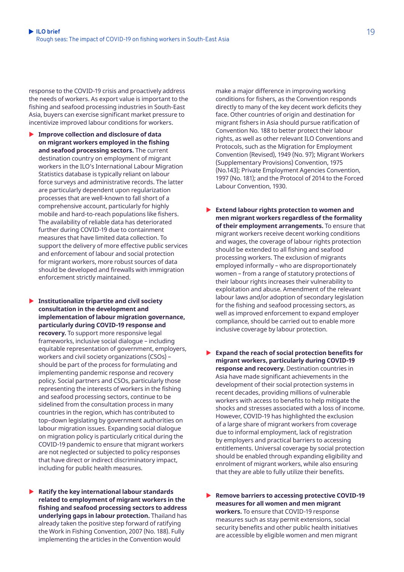response to the COVID-19 crisis and proactively address the needs of workers. As export value is important to the fishing and seafood processing industries in South-East Asia, buyers can exercise significant market pressure to incentivize improved labour conditions for workers.

- **Improve collection and disclosure of data on migrant workers employed in the fishing and seafood processing sectors.** The current destination country on employment of migrant workers in the ILO's International Labour Migration Statistics database is typically reliant on labour force surveys and administrative records. The latter are particularly dependent upon regularization processes that are well-known to fall short of a comprehensive account, particularly for highly mobile and hard-to-reach populations like fishers. The availability of reliable data has deteriorated further during COVID-19 due to containment measures that have limited data collection. To support the delivery of more effective public services and enforcement of labour and social protection for migrant workers, more robust sources of data should be developed and firewalls with immigration enforcement strictly maintained.
- **Institutionalize tripartite and civil society consultation in the development and implementation of labour migration governance, particularly during COVID-19 response and recovery.** To support more responsive legal frameworks, inclusive social dialogue – including equitable representation of government, employers, workers and civil society organizations (CSOs) – should be part of the process for formulating and implementing pandemic response and recovery policy. Social partners and CSOs, particularly those representing the interests of workers in the fishing and seafood processing sectors, continue to be sidelined from the consultation process in many countries in the region, which has contributed to top–down legislating by government authorities on labour migration issues. Expanding social dialogue on migration policy is particularly critical during the COVID-19 pandemic to ensure that migrant workers are not neglected or subjected to policy responses that have direct or indirect discriminatory impact, including for public health measures.
- ▶ Ratify the key international labour standards **related to employment of migrant workers in the fishing and seafood processing sectors to address underlying gaps in labour protection.** Thailand has already taken the positive step forward of ratifying the Work in Fishing Convention, 2007 (No. 188). Fully implementing the articles in the Convention would

make a major difference in improving working conditions for fishers, as the Convention responds directly to many of the key decent work deficits they face. Other countries of origin and destination for migrant fishers in Asia should pursue ratification of Convention No. 188 to better protect their labour rights, as well as other relevant ILO Conventions and Protocols, such as the Migration for Employment Convention (Revised), 1949 (No. 97); Migrant Workers (Supplementary Provisions) Convention, 1975 (No.143); Private Employment Agencies Convention, 1997 (No. 181); and the Protocol of 2014 to the Forced Labour Convention, 1930.

- ▶ Extend labour rights protection to women and **men migrant workers regardless of the formality of their employment arrangements.** To ensure that migrant workers receive decent working conditions and wages, the coverage of labour rights protection should be extended to all fishing and seafood processing workers. The exclusion of migrants employed informally – who are disproportionately women – from a range of statutory protections of their labour rights increases their vulnerability to exploitation and abuse. Amendment of the relevant labour laws and/or adoption of secondary legislation for the fishing and seafood processing sectors, as well as improved enforcement to expand employer compliance, should be carried out to enable more inclusive coverage by labour protection.
- ▶ Expand the reach of social protection benefits for **migrant workers, particularly during COVID-19 response and recovery.** Destination countries in Asia have made significant achievements in the development of their social protection systems in recent decades, providing millions of vulnerable workers with access to benefits to help mitigate the shocks and stresses associated with a loss of income. However, COVID-19 has highlighted the exclusion of a large share of migrant workers from coverage due to informal employment, lack of registration by employers and practical barriers to accessing entitlements. Universal coverage by social protection should be enabled through expanding eligibility and enrolment of migrant workers, while also ensuring that they are able to fully utilize their benefits.
- ▶ Remove barriers to accessing protective COVID-19 **measures for all women and men migrant workers.** To ensure that COVID-19 response measures such as stay permit extensions, social security benefits and other public health initiatives are accessible by eligible women and men migrant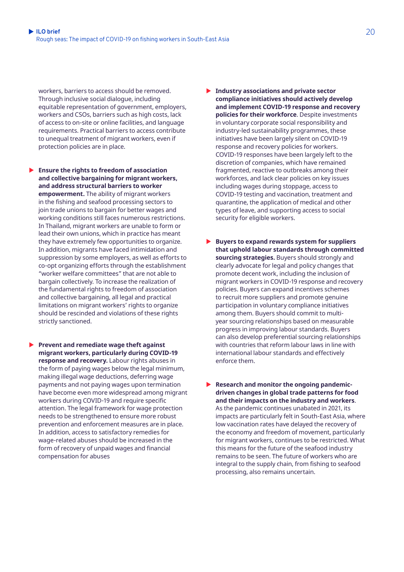workers, barriers to access should be removed. Through inclusive social dialogue, including equitable representation of government, employers, workers and CSOs, barriers such as high costs, lack of access to on-site or online facilities, and language requirements. Practical barriers to access contribute to unequal treatment of migrant workers, even if protection policies are in place.

- **Ensure the rights to freedom of association and collective bargaining for migrant workers, and address structural barriers to worker empowerment.** The ability of migrant workers in the fishing and seafood processing sectors to join trade unions to bargain for better wages and working conditions still faces numerous restrictions. In Thailand, migrant workers are unable to form or lead their own unions, which in practice has meant they have extremely few opportunities to organize. In addition, migrants have faced intimidation and suppression by some employers, as well as efforts to co-opt organizing efforts through the establishment "worker welfare committees" that are not able to bargain collectively. To increase the realization of the fundamental rights to freedom of association and collective bargaining, all legal and practical limitations on migrant workers' rights to organize should be rescinded and violations of these rights strictly sanctioned.
- **Prevent and remediate wage theft against migrant workers, particularly during COVID-19 response and recovery.** Labour rights abuses in the form of paying wages below the legal minimum, making illegal wage deductions, deferring wage payments and not paying wages upon termination have become even more widespread among migrant workers during COVID-19 and require specific attention. The legal framework for wage protection needs to be strengthened to ensure more robust prevention and enforcement measures are in place. In addition, access to satisfactory remedies for wage-related abuses should be increased in the form of recovery of unpaid wages and financial compensation for abuses
- **Industry associations and private sector compliance initiatives should actively develop and implement COVID-19 response and recovery policies for their workforce**. Despite investments in voluntary corporate social responsibility and industry-led sustainability programmes, these initiatives have been largely silent on COVID-19 response and recovery policies for workers. COVID-19 responses have been largely left to the discretion of companies, which have remained fragmented, reactive to outbreaks among their workforces, and lack clear policies on key issues including wages during stoppage, access to COVID-19 testing and vaccination, treatment and quarantine, the application of medical and other types of leave, and supporting access to social security for eligible workers.
- **Buyers to expand rewards system for suppliers that uphold labour standards through committed sourcing strategies.** Buyers should strongly and clearly advocate for legal and policy changes that promote decent work, including the inclusion of migrant workers in COVID-19 response and recovery policies. Buyers can expand incentives schemes to recruit more suppliers and promote genuine participation in voluntary compliance initiatives among them. Buyers should commit to multiyear sourcing relationships based on measurable progress in improving labour standards. Buyers can also develop preferential sourcing relationships with countries that reform labour laws in line with international labour standards and effectively enforce them.
- **Example 3 Research and monitor the ongoing pandemicdriven changes in global trade patterns for food and their impacts on the industry and workers**. As the pandemic continues unabated in 2021, its impacts are particularly felt in South-East Asia, where low vaccination rates have delayed the recovery of the economy and freedom of movement, particularly for migrant workers, continues to be restricted. What this means for the future of the seafood industry remains to be seen. The future of workers who are integral to the supply chain, from fishing to seafood processing, also remains uncertain.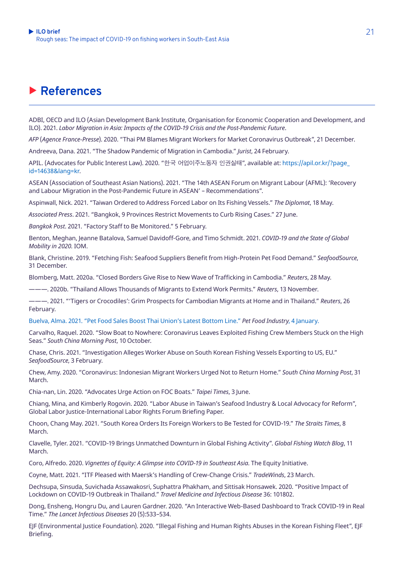# X **References**

ADBI, OECD and ILO (Asian Development Bank Institute, Organisation for Economic Cooperation and Development, and ILO). 2021. *Labor Migration in Asia: Impacts of the COVID-19 Crisis and the Post-Pandemic Future*.

*AFP* (*Agence France-Presse*). 2020. "Thai PM Blames Migrant Workers for Market Coronavirus Outbreak", 21 December.

Andreeva, Dana. 2021. "The Shadow Pandemic of Migration in Cambodia." *Jurist*, 24 February.

APIL. (Advocates for Public Interest Law). 2020. "한국 어업이주노동자 인권실태", available at: [https://apil.or.kr/?page\\_](https://apil.or.kr/?page_id=14638&lang=kr) [id=14638&lang=kr](https://apil.or.kr/?page_id=14638&lang=kr).

ASEAN (Association of Southeast Asian Nations). 2021. "The 14th ASEAN Forum on Migrant Labour (AFML): 'Recovery and Labour Migration in the Post-Pandemic Future in ASEAN' – Recommendations".

Aspinwall, Nick. 2021. "Taiwan Ordered to Address Forced Labor on Its Fishing Vessels." *The Diplomat*, 18 May.

*Associated Press*. 2021. "Bangkok, 9 Provinces Restrict Movements to Curb Rising Cases." 27 June.

*Bangkok Post*. 2021. "Factory Staff to Be Monitored." 5 February.

Benton, Meghan, Jeanne Batalova, Samuel Davidoff-Gore, and Timo Schmidt. 2021. *COVID-19 and the State of Global Mobility in 2020.* IOM.

Blank, Christine. 2019. "Fetching Fish: Seafood Suppliers Benefit from High-Protein Pet Food Demand." *SeafoodSource*, 31 December.

Blomberg, Matt. 2020a. "Closed Borders Give Rise to New Wave of Trafficking in Cambodia." *Reuters*, 28 May.

———. 2020b. "Thailand Allows Thousands of Migrants to Extend Work Permits." *Reuters*, 13 November.

———. 2021. "'Tigers or Crocodiles': Grim Prospects for Cambodian Migrants at Home and in Thailand." *Reuters*, 26 February.

Buelva, Alma. 2021. "Pet Food Sales Boost Thai Union's Latest Bottom Line." *Pet Food Industry*, 4 January.

Carvalho, Raquel. 2020. "Slow Boat to Nowhere: Coronavirus Leaves Exploited Fishing Crew Members Stuck on the High Seas." *South China Morning Post*, 10 October.

Chase, Chris. 2021. "Investigation Alleges Worker Abuse on South Korean Fishing Vessels Exporting to US, EU." *SeafoodSource*, 3 February.

Chew, Amy. 2020. "Coronavirus: Indonesian Migrant Workers Urged Not to Return Home." *South China Morning Post*, 31 March.

Chia-nan, Lin. 2020. "Advocates Urge Action on FOC Boats." *Taipei Times*, 3 June.

Chiang, Mina, and Kimberly Rogovin. 2020. "Labor Abuse in Taiwan's Seafood Industry & Local Advocacy for Reform", Global Labor Justice-International Labor Rights Forum Briefing Paper.

Choon, Chang May. 2021. "South Korea Orders Its Foreign Workers to Be Tested for COVID-19." *The Straits Times*, 8 March.

Clavelle, Tyler. 2021. "COVID-19 Brings Unmatched Downturn in Global Fishing Activity". *Global Fishing Watch Blog*, 11 March.

Coro, Alfredo. 2020. *Vignettes of Equity: A Glimpse into COVID-19 in Southeast Asia*. The Equity Initiative.

Coyne, Matt. 2021. "ITF Pleased with Maersk's Handling of Crew-Change Crisis." *TradeWinds*, 23 March.

Dechsupa, Sinsuda, Suvichada Assawakosri, Suphattra Phakham, and Sittisak Honsawek. 2020. "Positive Impact of Lockdown on COVID-19 Outbreak in Thailand." *Travel Medicine and Infectious Disease* 36: 101802.

Dong, Ensheng, Hongru Du, and Lauren Gardner. 2020. "An Interactive Web-Based Dashboard to Track COVID-19 in Real Time." *The Lancet Infectious Diseases* 20 (5):533–534.

EJF (Environmental Justice Foundation). 2020. "Illegal Fishing and Human Rights Abuses in the Korean Fishing Fleet", EJF Briefing.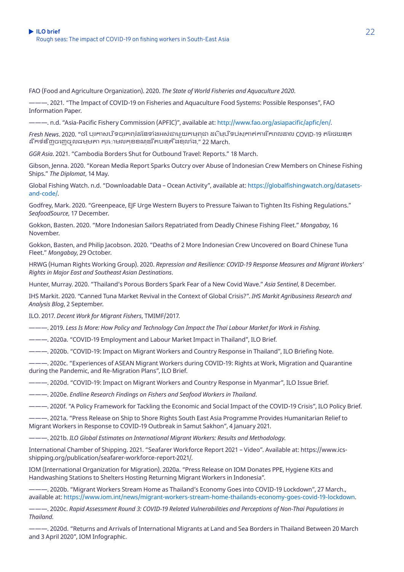FAO (Food and Agriculture Organization). 2020. *The State of World Fisheries and Aquaculture 2020*.

———. 2021. "The Impact of COVID-19 on Fisheries and Aquaculture Food Systems: Possible Responses", FAO Information Paper.

———. n.d. "Asia-Pacific Fishery Commission (APFIC)", available at:<http://www.fao.org/asiapacific/apfic/en/>.

*Fresh News.* 2020. "ថ ៃបរកាសបិទចរកពរំដនៃទាំងអស់ជាម យកមពជា ដ**ើមបីទប់សកាត់ការរីករាលដាល COVID-19 ត**រែថយនក ដ ឹកទំន ិញចេញច ូលធម្មតា ក្រោមលក្ខខណ្ឌរ ឹតបន្ត ឹងខ្លាំង." 22 March.

*GGR Asia*. 2021. "Cambodia Borders Shut for Outbound Travel: Reports." 18 March.

Gibson, Jenna. 2020. "Korean Media Report Sparks Outcry over Abuse of Indonesian Crew Members on Chinese Fishing Ships." *The Diplomat*, 14 May.

Global Fishing Watch. n.d. "Downloadable Data – Ocean Activity", available at: [https://globalfishingwatch.org/datasets](https://globalfishingwatch.org/datasets-and-code/)[and-code/.](https://globalfishingwatch.org/datasets-and-code/)

Godfrey, Mark. 2020. "Greenpeace, EJF Urge Western Buyers to Pressure Taiwan to Tighten Its Fishing Regulations." *SeafoodSource*, 17 December.

Gokkon, Basten. 2020. "More Indonesian Sailors Repatriated from Deadly Chinese Fishing Fleet." *Mongabay*, 16 November.

Gokkon, Basten, and Philip Jacobson. 2020. "Deaths of 2 More Indonesian Crew Uncovered on Board Chinese Tuna Fleet." *Mongabay*, 29 October.

HRWG (Human Rights Working Group). 2020. *Repression and Resilience: COVID-19 Response Measures and Migrant Workers' Rights in Major East and Southeast Asian Destinations*.

Hunter, Murray. 2020. "Thailand's Porous Borders Spark Fear of a New Covid Wave." *Asia Sentinel*, 8 December.

IHS Markit. 2020. *"*Canned Tuna Market Revival in the Context of Global Crisis?". *IHS Markit Agribusiness Research and Analysis Blog*, 2 September.

ILO. 2017. *Decent Work for Migrant Fishers*, TMIMF/2017.

———. 2019. *Less Is More: How Policy and Technology Can Impact the Thai Labour Market for Work in Fishing*.

———. 2020a. "COVID-19 Employment and Labour Market Impact in Thailand", ILO Brief.

———. 2020b. "COVID-19: Impact on Migrant Workers and Country Response in Thailand", ILO Briefing Note.

———. 2020c. "Experiences of ASEAN Migrant Workers during COVID-19: Rights at Work, Migration and Quarantine during the Pandemic, and Re-Migration Plans", ILO Brief.

———. 2020d. "COVID-19: Impact on Migrant Workers and Country Response in Myanmar", ILO Issue Brief.

———. 2020e. *Endline Research Findings on Fishers and Seafood Workers in Thailand*.

———. 2020f. "A Policy Framework for Tackling the Economic and Social Impact of the COVID-19 Crisis", ILO Policy Brief.

———. 2021a. "Press Release on Ship to Shore Rights South East Asia Programme Provides Humanitarian Relief to Migrant Workers in Response to COVID-19 Outbreak in Samut Sakhon", 4 January 2021.

———. 2021b. *ILO Global Estimates on International Migrant Workers: Results and Methodology*.

International Chamber of Shipping. 2021. "Seafarer Workforce Report 2021 – Video". Available at: https://www.icsshipping.org/publication/seafarer-workforce-report-2021/.

IOM (International Organization for Migration). 2020a. "Press Release on IOM Donates PPE, Hygiene Kits and Handwashing Stations to Shelters Hosting Returning Migrant Workers in Indonesia".

———. 2020b. "Migrant Workers Stream Home as Thailand's Economy Goes into COVID-19 Lockdown", 27 March., available at:<https://www.iom.int/news/migrant-workers-stream-home-thailands-economy-goes-covid-19-lockdown>.

———. 2020c. *Rapid Assessment Round 3: COVID-19 Related Vulnerabilities and Perceptions of Non-Thai Populations in Thailand.*

———. 2020d. "Returns and Arrivals of International Migrants at Land and Sea Borders in Thailand Between 20 March and 3 April 2020", IOM Infographic.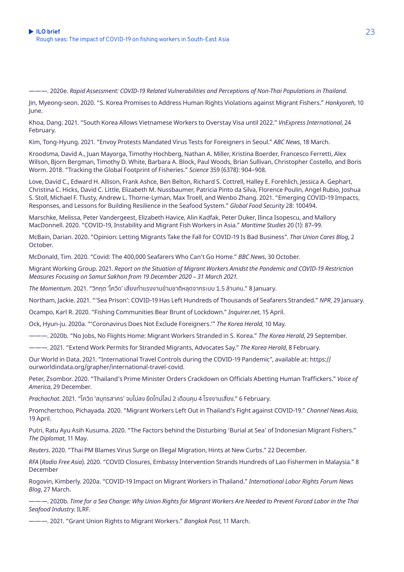———. 2020e. *Rapid Assessment: COVID-19 Related Vulnerabilities and Perceptions of Non-Thai Populations in Thailand.*

Jin, Myeong-seon. 2020. "S. Korea Promises to Address Human Rights Violations against Migrant Fishers." *Hankyoreh*, 10 June.

Khoa, Dang. 2021. "South Korea Allows Vietnamese Workers to Overstay Visa until 2022." *VnExpress International*, 24 February.

Kim, Tong-Hyung. 2021. "Envoy Protests Mandated Virus Tests for Foreigners in Seoul." *ABC News*, 18 March.

Kroodsma, David A., Juan Mayorga, Timothy Hochberg, Nathan A. Miller, Kristina Boerder, Francesco Ferretti, Alex Wilson, Bjorn Bergman, Timothy D. White, Barbara A. Block, Paul Woods, Brian Sullivan, Christopher Costello, and Boris Worm. 2018. "Tracking the Global Footprint of Fisheries*.*" *Science* 359 (6378): 904–908.

Love, David C., Edward H. Allison, Frank Ashce, Ben Belton, Richard S. Cottrell, Halley E. Forehlich, Jessica A. Gephart, Christina C. Hicks, David C. Little, Elizabeth M. Nussbaumer, Patricia Pinto da Silva, Florence Poulin, Angel Rubio, Joshua S. Stoll, Michael F. Tlusty, Andrew L. Thorne-Lyman, Max Troell, and Wenbo Zhang. 2021. "Emerging COVID-19 Impacts, Responses, and Lessons for Building Resilience in the Seafood System." *Global Food Security* 28: 100494.

Marschke, Melissa, Peter Vandergeest, Elizabeth Havice, Alin Kadfak, Peter Duker, Ilinca Isopescu, and Mallory MacDonnell. 2020. "COVID-19, Instability and Migrant Fish Workers in Asia." *Maritime Studies* 20 (1): 87–99.

McBain, Darian. 2020. "Opinion: Letting Migrants Take the Fall for COVID-19 Is Bad Business". *Thai Union Cares Blog*, 2 October.

McDonald, Tim. 2020. "Covid: The 400,000 Seafarers Who Can't Go Home." *BBC News*, 30 October.

Migrant Working Group. 2021. *Report on the Situation of Migrant Workers Amidst the Pandemic and COVID-19 Restriction Measures Focusing on Samut Sakhon from 19 December 2020 – 31 March 2021.*

*The Momentum*. 2021. "วิิกฤต 'โควิิด' เสี่่ยงทำำ�แรงง � านข้้ามชาติิหลุุดจากระบบ 1.5 ล้้านคน." 8 January.

Northam, Jackie. 2021. "'Sea Prison': COVID-19 Has Left Hundreds of Thousands of Seafarers Stranded." *NPR*, 29 January.

Ocampo, Karl R. 2020. "Fishing Communities Bear Brunt of Lockdown." *Inquirer.net*, 15 April.

Ock, Hyun-ju. 2020a. "'Coronavirus Does Not Exclude Foreigners.'" *The Korea Herald*, 10 May.

———. 2020b. "No Jobs, No Flights Home: Migrant Workers Stranded in S. Korea." *The Korea Herald*, 29 September.

———. 2021. "Extend Work Permits for Stranded Migrants, Advocates Say." *The Korea Herald*, 8 February.

Our World in Data. 2021. "International Travel Controls during the COVID-19 Pandemic", available at: https:// ourworldindata.org/grapher/international-travel-covid.

Peter, Zsombor. 2020. "Thailand's Prime Minister Orders Crackdown on Officials Abetting Human Traffickers." *Voice of America*, 29 December.

*Prachachat*. 2021. "โควิด 'สมุทรสาคร' จบไม่ลง ยืดไทม์ไลน์ 2 เดือนคม 4 โรงงานเสี่ยง." 6 February.

Promchertchoo, Pichayada. 2020. "Migrant Workers Left Out in Thailand's Fight against COVID-19." *Channel News Asia*, 19 April.

Putri, Ratu Ayu Asih Kusuma. 2020. "The Factors behind the Disturbing 'Burial at Sea' of Indonesian Migrant Fishers." *The Diplomat*, 11 May.

*Reuters*. 2020. "Thai PM Blames Virus Surge on Illegal Migration, Hints at New Curbs." 22 December.

*RFA* (*Radio Free Asia*). 2020. "COVID Closures, Embassy Intervention Strands Hundreds of Lao Fishermen in Malaysia." 8 December

Rogovin, Kimberly. 2020a. "COVID-19 Impact on Migrant Workers in Thailand." *International Labor Rights Forum News Blog*, 27 March.

———. 2020b. *Time for a Sea Change: Why Union Rights for Migrant Workers Are Needed to Prevent Forced Labor in the Thai Seafood Industry*. ILRF.

———. 2021. "Grant Union Rights to Migrant Workers." *Bangkok Post*, 11 March.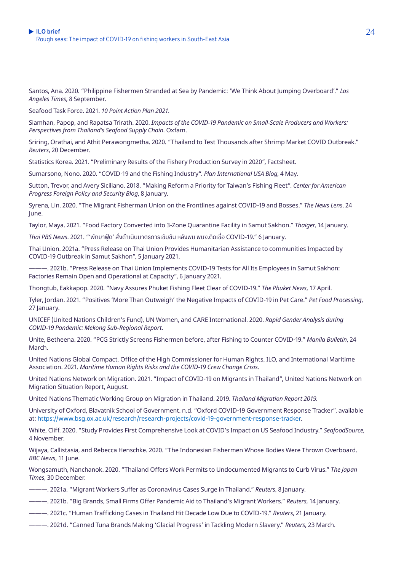Santos, Ana. 2020. "Philippine Fishermen Stranded at Sea by Pandemic: 'We Think About Jumping Overboard'." *Los Angeles Times*, 8 September.

Seafood Task Force. 2021. *10 Point Action Plan 2021*.

Siamhan, Papop, and Rapatsa Trirath. 2020. *Impacts of the COVID-19 Pandemic on Small-Scale Producers and Workers: Perspectives from Thailand's Seafood Supply Chain*. Oxfam.

Sriring, Orathai, and Athit Perawongmetha. 2020. "Thailand to Test Thousands after Shrimp Market COVID Outbreak." *Reuters*, 20 December.

Statistics Korea. 2021. "Preliminary Results of the Fishery Production Survey in 2020", Factsheet.

Sumarsono, Nono. 2020. "COVID-19 and the Fishing Industry". *Plan International USA Blog*, 4 May.

Sutton, Trevor, and Avery Siciliano. 2018. "Making Reform a Priority for Taiwan's Fishing Fleet". *Center for American Progress Foreign Policy and Security Blog*, 8 January.

Syrena, Lin. 2020. "The Migrant Fisherman Union on the Frontlines against COVID-19 and Bosses." *The News Lens*, 24 June.

Taylor, Maya. 2021. "Food Factory Converted into 3-Zone Quarantine Facility in Samut Sakhon." *Thaiger*, 14 January.

 *Thai PBS News*. 2021. "'พััทยาฟู้้�ด' สั่่�งดำำ�เนิินมาตรการเข้้มข้้น หลัังพบ พนง.ติิดเชื้้อ� COVID-19." 6 January.

Thai Union. 2021a. "Press Release on Thai Union Provides Humanitarian Assistance to communities Impacted by COVID-19 Outbreak in Samut Sakhon", 5 January 2021.

———. 2021b. "Press Release on Thai Union Implements COVID-19 Tests for All Its Employees in Samut Sakhon: Factories Remain Open and Operational at Capacity", 6 January 2021.

Thongtub, Eakkapop. 2020. "Navy Assures Phuket Fishing Fleet Clear of COVID-19." *The Phuket News*, 17 April.

Tyler, Jordan. 2021. "Positives 'More Than Outweigh' the Negative Impacts of COVID-19 in Pet Care." *Pet Food Processing*, 27 January.

UNICEF (United Nations Children's Fund), UN Women, and CARE International. 2020. *Rapid Gender Analysis during COVID-19 Pandemic: Mekong Sub-Regional Report*.

Unite, Betheena. 2020. "PCG Strictly Screens Fishermen before, after Fishing to Counter COVID-19." *Manila Bulletin*, 24 March.

United Nations Global Compact, Office of the High Commissioner for Human Rights, ILO, and International Maritime Association. 2021. *Maritime Human Rights Risks and the COVID-19 Crew Change Crisis.*

United Nations Network on Migration. 2021. "Impact of COVID-19 on Migrants in Thailand", United Nations Network on Migration Situation Report, August.

United Nations Thematic Working Group on Migration in Thailand. 2019. *Thailand Migration Report 2019.*

University of Oxford, Blavatnik School of Government. n.d. "Oxford COVID-19 Government Response Tracker", available at: <https://www.bsg.ox.ac.uk/research/research-projects/covid-19-government-response-tracker>.

White, Cliff. 2020. "Study Provides First Comprehensive Look at COVID's Impact on US Seafood Industry." *SeafoodSource*, 4 November.

Wijaya, Callistasia, and Rebecca Henschke. 2020. "The Indonesian Fishermen Whose Bodies Were Thrown Overboard. *BBC News*, 11 June.

Wongsamuth, Nanchanok. 2020. "Thailand Offers Work Permits to Undocumented Migrants to Curb Virus." *The Japan Times*, 30 December.

- ———. 2021a. "Migrant Workers Suffer as Coronavirus Cases Surge in Thailand." *Reuters*, 8 January.
- ———. 2021b. "Big Brands, Small Firms Offer Pandemic Aid to Thailand's Migrant Workers." *Reuters*, 14 January.
- ———. 2021c. "Human Trafficking Cases in Thailand Hit Decade Low Due to COVID-19." *Reuters*, 21 January.
- ———. 2021d. "Canned Tuna Brands Making 'Glacial Progress' in Tackling Modern Slavery." *Reuters*, 23 March.